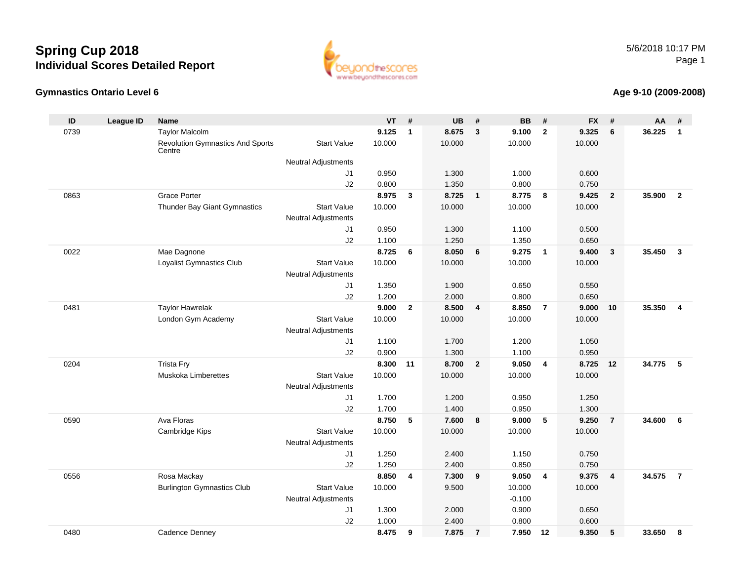#### **Gymnastics Ontario Level 6**

5/6/2018 10:17 PMPage 1



#### **Age 9-10 (2009-2008)**

| ID   | <b>League ID</b> | <b>Name</b>                                       |                            | <b>VT</b> | #            | <b>UB</b> | #              | <b>BB</b> | #              | <b>FX</b> | #              | AA     | #                       |
|------|------------------|---------------------------------------------------|----------------------------|-----------|--------------|-----------|----------------|-----------|----------------|-----------|----------------|--------|-------------------------|
| 0739 |                  | <b>Taylor Malcolm</b>                             |                            | 9.125     | $\mathbf{1}$ | 8.675     | $\mathbf{3}$   | 9.100     | $\overline{2}$ | 9.325     | 6              | 36.225 | $\mathbf{1}$            |
|      |                  | <b>Revolution Gymnastics And Sports</b><br>Centre | <b>Start Value</b>         | 10.000    |              | 10.000    |                | 10.000    |                | 10.000    |                |        |                         |
|      |                  |                                                   | <b>Neutral Adjustments</b> |           |              |           |                |           |                |           |                |        |                         |
|      |                  |                                                   | J1                         | 0.950     |              | 1.300     |                | 1.000     |                | 0.600     |                |        |                         |
|      |                  |                                                   | J2                         | 0.800     |              | 1.350     |                | 0.800     |                | 0.750     |                |        |                         |
| 0863 |                  | Grace Porter                                      |                            | 8.975     | $\mathbf{3}$ | 8.725     | $\overline{1}$ | 8.775     | 8              | 9.425     | $\overline{2}$ | 35.900 | $\overline{2}$          |
|      |                  | Thunder Bay Giant Gymnastics                      | <b>Start Value</b>         | 10.000    |              | 10.000    |                | 10.000    |                | 10.000    |                |        |                         |
|      |                  |                                                   | <b>Neutral Adjustments</b> |           |              |           |                |           |                |           |                |        |                         |
|      |                  |                                                   | J <sub>1</sub>             | 0.950     |              | 1.300     |                | 1.100     |                | 0.500     |                |        |                         |
|      |                  |                                                   | J2                         | 1.100     |              | 1.250     |                | 1.350     |                | 0.650     |                |        |                         |
| 0022 |                  | Mae Dagnone                                       |                            | 8.725     | 6            | 8.050     | 6              | 9.275     | $\overline{1}$ | 9.400     | 3              | 35.450 | $\overline{\mathbf{3}}$ |
|      |                  | Loyalist Gymnastics Club                          | <b>Start Value</b>         | 10.000    |              | 10.000    |                | 10.000    |                | 10.000    |                |        |                         |
|      |                  |                                                   | <b>Neutral Adjustments</b> |           |              |           |                |           |                |           |                |        |                         |
|      |                  |                                                   | J1                         | 1.350     |              | 1.900     |                | 0.650     |                | 0.550     |                |        |                         |
|      |                  |                                                   | J2                         | 1.200     |              | 2.000     |                | 0.800     |                | 0.650     |                |        |                         |
| 0481 |                  | <b>Taylor Hawrelak</b>                            |                            | 9.000     | $\mathbf{2}$ | 8.500     | $\overline{4}$ | 8.850     | $\overline{7}$ | 9.000     | 10             | 35.350 | $\overline{4}$          |
|      |                  | London Gym Academy                                | <b>Start Value</b>         | 10.000    |              | 10.000    |                | 10.000    |                | 10.000    |                |        |                         |
|      |                  |                                                   | <b>Neutral Adjustments</b> |           |              |           |                |           |                |           |                |        |                         |
|      |                  |                                                   | J <sub>1</sub>             | 1.100     |              | 1.700     |                | 1.200     |                | 1.050     |                |        |                         |
|      |                  |                                                   | J2                         | 0.900     |              | 1.300     |                | 1.100     |                | 0.950     |                |        |                         |
| 0204 |                  | <b>Trista Fry</b>                                 |                            | 8.300     | 11           | 8.700     | $\overline{2}$ | 9.050     | $\overline{4}$ | 8.725     | 12             | 34.775 | 5                       |
|      |                  | <b>Muskoka Limberettes</b>                        | <b>Start Value</b>         | 10.000    |              | 10.000    |                | 10.000    |                | 10.000    |                |        |                         |
|      |                  |                                                   | <b>Neutral Adjustments</b> |           |              |           |                |           |                |           |                |        |                         |
|      |                  |                                                   | J1                         | 1.700     |              | 1.200     |                | 0.950     |                | 1.250     |                |        |                         |
|      |                  |                                                   | J2                         | 1.700     |              | 1.400     |                | 0.950     |                | 1.300     |                |        |                         |
| 0590 |                  | Ava Floras                                        | <b>Start Value</b>         | 8.750     | 5            | 7.600     | 8              | 9.000     | 5              | 9.250     | $\overline{7}$ | 34.600 | 6                       |
|      |                  | Cambridge Kips                                    |                            | 10.000    |              | 10.000    |                | 10.000    |                | 10.000    |                |        |                         |
|      |                  |                                                   | <b>Neutral Adjustments</b> | 1.250     |              | 2.400     |                | 1.150     |                | 0.750     |                |        |                         |
|      |                  |                                                   | J1<br>J2                   | 1.250     |              | 2.400     |                | 0.850     |                | 0.750     |                |        |                         |
| 0556 |                  | Rosa Mackay                                       |                            | 8.850     | 4            | 7.300     | 9              | 9.050     | $\overline{4}$ | 9.375     | 4              | 34.575 | $\overline{7}$          |
|      |                  | <b>Burlington Gymnastics Club</b>                 | <b>Start Value</b>         | 10.000    |              | 9.500     |                | 10.000    |                | 10.000    |                |        |                         |
|      |                  |                                                   | <b>Neutral Adjustments</b> |           |              |           |                | $-0.100$  |                |           |                |        |                         |
|      |                  |                                                   | J1                         | 1.300     |              | 2.000     |                | 0.900     |                | 0.650     |                |        |                         |
|      |                  |                                                   | J2                         | 1.000     |              | 2.400     |                | 0.800     |                | 0.600     |                |        |                         |
| 0480 |                  | Cadence Denney                                    |                            | 8.475     | 9            | 7.875     | $\overline{7}$ | 7.950     | 12             | 9.350     | 5              | 33.650 | 8                       |
|      |                  |                                                   |                            |           |              |           |                |           |                |           |                |        |                         |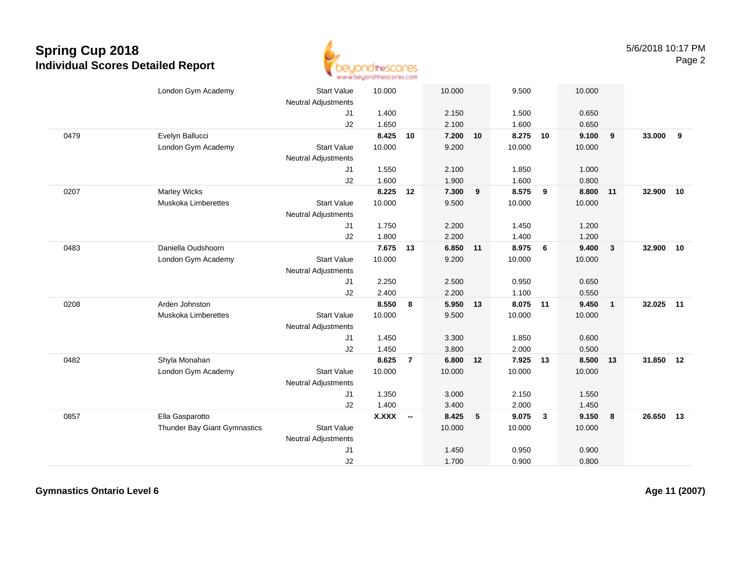

| 1.400<br>2.150<br>1.500<br>J <sub>1</sub><br>0.650<br>2.100<br>1.600<br>J2<br>1.650<br>0.650<br>8.425<br>7.200<br>8.275<br>9.100<br>$\overline{9}$<br>33,000<br>0479<br>Evelyn Ballucci<br>10<br>10<br>10<br>9<br>10.000<br>9.200<br>London Gym Academy<br><b>Start Value</b><br>10.000<br>10.000<br><b>Neutral Adjustments</b><br>1.550<br>2.100<br>1.850<br>1.000<br>J1<br>J2<br>1.600<br>1.900<br>1.600<br>0.800<br>0207<br><b>Marley Wicks</b><br>8.225<br>7.300<br>9<br>8.575<br>9<br>8.800 11<br>32.900<br>10<br>12<br>Muskoka Limberettes<br><b>Start Value</b><br>10.000<br>9.500<br>10.000<br>10.000<br><b>Neutral Adjustments</b><br>1.750<br>2.200<br>1.450<br>1.200<br>J1<br>J2<br>1.800<br>1.400<br>2.200<br>1.200<br>8.975<br>Daniella Oudshoorn<br>7.675<br>6.850 11<br>9.400<br>$\overline{\mathbf{3}}$<br>32.900 10<br>0483<br>13<br>6<br><b>Start Value</b><br>10.000<br>9.200<br>10.000<br>10.000<br>London Gym Academy<br><b>Neutral Adjustments</b><br>2.250<br>2.500<br>0.950<br>0.650<br>J1<br>J2<br>2.400<br>2.200<br>1.100<br>0.550<br>Arden Johnston<br>0208<br>8.550<br>5.950 13<br>8.075 11<br>9.450<br>$\overline{1}$<br>32.025<br>11<br>8<br><b>Muskoka Limberettes</b><br><b>Start Value</b><br>10.000<br>9.500<br>10.000<br>10.000<br><b>Neutral Adjustments</b><br>1.450<br>3.300<br>0.600<br>J <sub>1</sub><br>1.850<br>J2<br>1.450<br>3.800<br>2.000<br>0.500<br>Shyla Monahan<br>8.625<br>7.925<br>31.850<br>0482<br>6.800<br>8.500<br>12<br>$\overline{7}$<br>12<br>13<br>13<br><b>Start Value</b><br>London Gym Academy<br>10.000<br>10.000<br>10.000<br>10.000<br>Neutral Adjustments<br>1.350<br>3.000<br>2.150<br>J1<br>1.550<br>1.400<br>3.400<br>2.000<br>1.450<br>J2<br>0857<br>Ella Gasparotto<br>X.XXX<br>8.425<br>9.075<br>$\mathbf{3}$<br>9.150<br>26.650<br>5<br>$\overline{\mathbf{8}}$<br>13<br>$\sim$<br><b>Start Value</b><br>Thunder Bay Giant Gymnastics<br>10.000<br>10.000<br>10.000<br><b>Neutral Adjustments</b><br>1.450<br>0.950<br>0.900<br>J <sub>1</sub><br>1.700<br>J2<br>0.900<br>0.800 | London Gym Academy | <b>Start Value</b>         | 10.000 | 10.000 | 9.500 | 10.000 |  |  |
|-----------------------------------------------------------------------------------------------------------------------------------------------------------------------------------------------------------------------------------------------------------------------------------------------------------------------------------------------------------------------------------------------------------------------------------------------------------------------------------------------------------------------------------------------------------------------------------------------------------------------------------------------------------------------------------------------------------------------------------------------------------------------------------------------------------------------------------------------------------------------------------------------------------------------------------------------------------------------------------------------------------------------------------------------------------------------------------------------------------------------------------------------------------------------------------------------------------------------------------------------------------------------------------------------------------------------------------------------------------------------------------------------------------------------------------------------------------------------------------------------------------------------------------------------------------------------------------------------------------------------------------------------------------------------------------------------------------------------------------------------------------------------------------------------------------------------------------------------------------------------------------------------------------------------------------------------------------------------------------------------------------------------------------------------------------|--------------------|----------------------------|--------|--------|-------|--------|--|--|
|                                                                                                                                                                                                                                                                                                                                                                                                                                                                                                                                                                                                                                                                                                                                                                                                                                                                                                                                                                                                                                                                                                                                                                                                                                                                                                                                                                                                                                                                                                                                                                                                                                                                                                                                                                                                                                                                                                                                                                                                                                                           |                    | <b>Neutral Adjustments</b> |        |        |       |        |  |  |
|                                                                                                                                                                                                                                                                                                                                                                                                                                                                                                                                                                                                                                                                                                                                                                                                                                                                                                                                                                                                                                                                                                                                                                                                                                                                                                                                                                                                                                                                                                                                                                                                                                                                                                                                                                                                                                                                                                                                                                                                                                                           |                    |                            |        |        |       |        |  |  |
|                                                                                                                                                                                                                                                                                                                                                                                                                                                                                                                                                                                                                                                                                                                                                                                                                                                                                                                                                                                                                                                                                                                                                                                                                                                                                                                                                                                                                                                                                                                                                                                                                                                                                                                                                                                                                                                                                                                                                                                                                                                           |                    |                            |        |        |       |        |  |  |
|                                                                                                                                                                                                                                                                                                                                                                                                                                                                                                                                                                                                                                                                                                                                                                                                                                                                                                                                                                                                                                                                                                                                                                                                                                                                                                                                                                                                                                                                                                                                                                                                                                                                                                                                                                                                                                                                                                                                                                                                                                                           |                    |                            |        |        |       |        |  |  |
|                                                                                                                                                                                                                                                                                                                                                                                                                                                                                                                                                                                                                                                                                                                                                                                                                                                                                                                                                                                                                                                                                                                                                                                                                                                                                                                                                                                                                                                                                                                                                                                                                                                                                                                                                                                                                                                                                                                                                                                                                                                           |                    |                            |        |        |       |        |  |  |
|                                                                                                                                                                                                                                                                                                                                                                                                                                                                                                                                                                                                                                                                                                                                                                                                                                                                                                                                                                                                                                                                                                                                                                                                                                                                                                                                                                                                                                                                                                                                                                                                                                                                                                                                                                                                                                                                                                                                                                                                                                                           |                    |                            |        |        |       |        |  |  |
|                                                                                                                                                                                                                                                                                                                                                                                                                                                                                                                                                                                                                                                                                                                                                                                                                                                                                                                                                                                                                                                                                                                                                                                                                                                                                                                                                                                                                                                                                                                                                                                                                                                                                                                                                                                                                                                                                                                                                                                                                                                           |                    |                            |        |        |       |        |  |  |
|                                                                                                                                                                                                                                                                                                                                                                                                                                                                                                                                                                                                                                                                                                                                                                                                                                                                                                                                                                                                                                                                                                                                                                                                                                                                                                                                                                                                                                                                                                                                                                                                                                                                                                                                                                                                                                                                                                                                                                                                                                                           |                    |                            |        |        |       |        |  |  |
|                                                                                                                                                                                                                                                                                                                                                                                                                                                                                                                                                                                                                                                                                                                                                                                                                                                                                                                                                                                                                                                                                                                                                                                                                                                                                                                                                                                                                                                                                                                                                                                                                                                                                                                                                                                                                                                                                                                                                                                                                                                           |                    |                            |        |        |       |        |  |  |
|                                                                                                                                                                                                                                                                                                                                                                                                                                                                                                                                                                                                                                                                                                                                                                                                                                                                                                                                                                                                                                                                                                                                                                                                                                                                                                                                                                                                                                                                                                                                                                                                                                                                                                                                                                                                                                                                                                                                                                                                                                                           |                    |                            |        |        |       |        |  |  |
|                                                                                                                                                                                                                                                                                                                                                                                                                                                                                                                                                                                                                                                                                                                                                                                                                                                                                                                                                                                                                                                                                                                                                                                                                                                                                                                                                                                                                                                                                                                                                                                                                                                                                                                                                                                                                                                                                                                                                                                                                                                           |                    |                            |        |        |       |        |  |  |
|                                                                                                                                                                                                                                                                                                                                                                                                                                                                                                                                                                                                                                                                                                                                                                                                                                                                                                                                                                                                                                                                                                                                                                                                                                                                                                                                                                                                                                                                                                                                                                                                                                                                                                                                                                                                                                                                                                                                                                                                                                                           |                    |                            |        |        |       |        |  |  |
|                                                                                                                                                                                                                                                                                                                                                                                                                                                                                                                                                                                                                                                                                                                                                                                                                                                                                                                                                                                                                                                                                                                                                                                                                                                                                                                                                                                                                                                                                                                                                                                                                                                                                                                                                                                                                                                                                                                                                                                                                                                           |                    |                            |        |        |       |        |  |  |
|                                                                                                                                                                                                                                                                                                                                                                                                                                                                                                                                                                                                                                                                                                                                                                                                                                                                                                                                                                                                                                                                                                                                                                                                                                                                                                                                                                                                                                                                                                                                                                                                                                                                                                                                                                                                                                                                                                                                                                                                                                                           |                    |                            |        |        |       |        |  |  |
|                                                                                                                                                                                                                                                                                                                                                                                                                                                                                                                                                                                                                                                                                                                                                                                                                                                                                                                                                                                                                                                                                                                                                                                                                                                                                                                                                                                                                                                                                                                                                                                                                                                                                                                                                                                                                                                                                                                                                                                                                                                           |                    |                            |        |        |       |        |  |  |
|                                                                                                                                                                                                                                                                                                                                                                                                                                                                                                                                                                                                                                                                                                                                                                                                                                                                                                                                                                                                                                                                                                                                                                                                                                                                                                                                                                                                                                                                                                                                                                                                                                                                                                                                                                                                                                                                                                                                                                                                                                                           |                    |                            |        |        |       |        |  |  |
|                                                                                                                                                                                                                                                                                                                                                                                                                                                                                                                                                                                                                                                                                                                                                                                                                                                                                                                                                                                                                                                                                                                                                                                                                                                                                                                                                                                                                                                                                                                                                                                                                                                                                                                                                                                                                                                                                                                                                                                                                                                           |                    |                            |        |        |       |        |  |  |
|                                                                                                                                                                                                                                                                                                                                                                                                                                                                                                                                                                                                                                                                                                                                                                                                                                                                                                                                                                                                                                                                                                                                                                                                                                                                                                                                                                                                                                                                                                                                                                                                                                                                                                                                                                                                                                                                                                                                                                                                                                                           |                    |                            |        |        |       |        |  |  |
|                                                                                                                                                                                                                                                                                                                                                                                                                                                                                                                                                                                                                                                                                                                                                                                                                                                                                                                                                                                                                                                                                                                                                                                                                                                                                                                                                                                                                                                                                                                                                                                                                                                                                                                                                                                                                                                                                                                                                                                                                                                           |                    |                            |        |        |       |        |  |  |
|                                                                                                                                                                                                                                                                                                                                                                                                                                                                                                                                                                                                                                                                                                                                                                                                                                                                                                                                                                                                                                                                                                                                                                                                                                                                                                                                                                                                                                                                                                                                                                                                                                                                                                                                                                                                                                                                                                                                                                                                                                                           |                    |                            |        |        |       |        |  |  |
|                                                                                                                                                                                                                                                                                                                                                                                                                                                                                                                                                                                                                                                                                                                                                                                                                                                                                                                                                                                                                                                                                                                                                                                                                                                                                                                                                                                                                                                                                                                                                                                                                                                                                                                                                                                                                                                                                                                                                                                                                                                           |                    |                            |        |        |       |        |  |  |
|                                                                                                                                                                                                                                                                                                                                                                                                                                                                                                                                                                                                                                                                                                                                                                                                                                                                                                                                                                                                                                                                                                                                                                                                                                                                                                                                                                                                                                                                                                                                                                                                                                                                                                                                                                                                                                                                                                                                                                                                                                                           |                    |                            |        |        |       |        |  |  |
|                                                                                                                                                                                                                                                                                                                                                                                                                                                                                                                                                                                                                                                                                                                                                                                                                                                                                                                                                                                                                                                                                                                                                                                                                                                                                                                                                                                                                                                                                                                                                                                                                                                                                                                                                                                                                                                                                                                                                                                                                                                           |                    |                            |        |        |       |        |  |  |
|                                                                                                                                                                                                                                                                                                                                                                                                                                                                                                                                                                                                                                                                                                                                                                                                                                                                                                                                                                                                                                                                                                                                                                                                                                                                                                                                                                                                                                                                                                                                                                                                                                                                                                                                                                                                                                                                                                                                                                                                                                                           |                    |                            |        |        |       |        |  |  |
|                                                                                                                                                                                                                                                                                                                                                                                                                                                                                                                                                                                                                                                                                                                                                                                                                                                                                                                                                                                                                                                                                                                                                                                                                                                                                                                                                                                                                                                                                                                                                                                                                                                                                                                                                                                                                                                                                                                                                                                                                                                           |                    |                            |        |        |       |        |  |  |
|                                                                                                                                                                                                                                                                                                                                                                                                                                                                                                                                                                                                                                                                                                                                                                                                                                                                                                                                                                                                                                                                                                                                                                                                                                                                                                                                                                                                                                                                                                                                                                                                                                                                                                                                                                                                                                                                                                                                                                                                                                                           |                    |                            |        |        |       |        |  |  |
|                                                                                                                                                                                                                                                                                                                                                                                                                                                                                                                                                                                                                                                                                                                                                                                                                                                                                                                                                                                                                                                                                                                                                                                                                                                                                                                                                                                                                                                                                                                                                                                                                                                                                                                                                                                                                                                                                                                                                                                                                                                           |                    |                            |        |        |       |        |  |  |
|                                                                                                                                                                                                                                                                                                                                                                                                                                                                                                                                                                                                                                                                                                                                                                                                                                                                                                                                                                                                                                                                                                                                                                                                                                                                                                                                                                                                                                                                                                                                                                                                                                                                                                                                                                                                                                                                                                                                                                                                                                                           |                    |                            |        |        |       |        |  |  |
|                                                                                                                                                                                                                                                                                                                                                                                                                                                                                                                                                                                                                                                                                                                                                                                                                                                                                                                                                                                                                                                                                                                                                                                                                                                                                                                                                                                                                                                                                                                                                                                                                                                                                                                                                                                                                                                                                                                                                                                                                                                           |                    |                            |        |        |       |        |  |  |
|                                                                                                                                                                                                                                                                                                                                                                                                                                                                                                                                                                                                                                                                                                                                                                                                                                                                                                                                                                                                                                                                                                                                                                                                                                                                                                                                                                                                                                                                                                                                                                                                                                                                                                                                                                                                                                                                                                                                                                                                                                                           |                    |                            |        |        |       |        |  |  |
|                                                                                                                                                                                                                                                                                                                                                                                                                                                                                                                                                                                                                                                                                                                                                                                                                                                                                                                                                                                                                                                                                                                                                                                                                                                                                                                                                                                                                                                                                                                                                                                                                                                                                                                                                                                                                                                                                                                                                                                                                                                           |                    |                            |        |        |       |        |  |  |

**Gymnastics Ontario Level 6**

**Age 11 (2007)**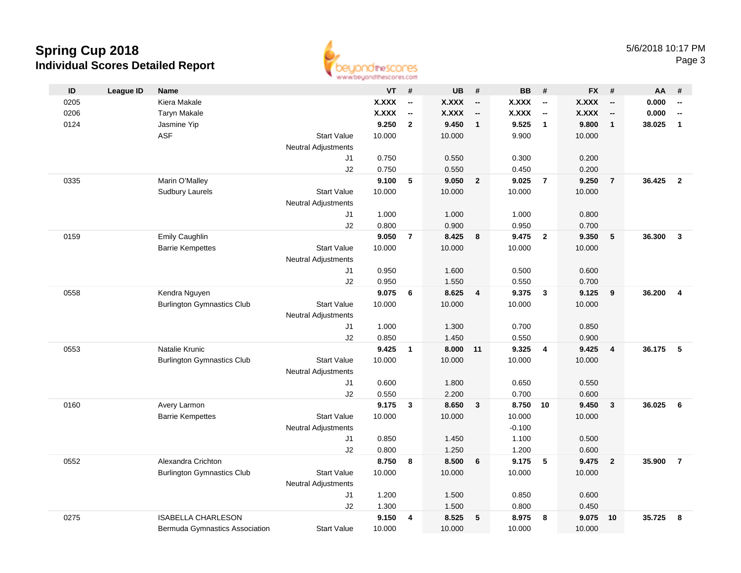

| ID   | <b>League ID</b> | <b>Name</b>                       |                            | <b>VT</b>    | #                        | <b>UB</b>    | #                        | <b>BB</b>    | #                        | FX #         |                          | AA     | #                        |
|------|------------------|-----------------------------------|----------------------------|--------------|--------------------------|--------------|--------------------------|--------------|--------------------------|--------------|--------------------------|--------|--------------------------|
| 0205 |                  | Kiera Makale                      |                            | <b>X.XXX</b> | $\overline{\phantom{a}}$ | <b>X.XXX</b> | $\overline{\phantom{a}}$ | <b>X.XXX</b> | $\overline{\phantom{a}}$ | <b>X.XXX</b> | $\overline{\phantom{a}}$ | 0.000  | $\overline{\phantom{a}}$ |
| 0206 |                  | <b>Taryn Makale</b>               |                            | <b>X.XXX</b> | $\overline{\phantom{a}}$ | <b>X.XXX</b> | $\overline{\phantom{a}}$ | <b>X.XXX</b> | $\overline{\phantom{a}}$ | <b>X.XXX</b> | $\overline{\phantom{a}}$ | 0.000  | $\overline{\phantom{a}}$ |
| 0124 |                  | Jasmine Yip                       |                            | 9.250        | $\mathbf{2}$             | 9.450        | $\overline{1}$           | 9.525        | $\overline{1}$           | 9.800        | $\mathbf{1}$             | 38.025 | $\mathbf{1}$             |
|      |                  | <b>ASF</b>                        | <b>Start Value</b>         | 10.000       |                          | 10.000       |                          | 9.900        |                          | 10.000       |                          |        |                          |
|      |                  |                                   | <b>Neutral Adjustments</b> |              |                          |              |                          |              |                          |              |                          |        |                          |
|      |                  |                                   | J1                         | 0.750        |                          | 0.550        |                          | 0.300        |                          | 0.200        |                          |        |                          |
|      |                  |                                   | J2                         | 0.750        |                          | 0.550        |                          | 0.450        |                          | 0.200        |                          |        |                          |
| 0335 |                  | Marin O'Malley                    |                            | 9.100        | 5                        | 9.050        | $\overline{2}$           | 9.025        | $\overline{7}$           | 9.250        | $\overline{7}$           | 36.425 | $\overline{2}$           |
|      |                  | <b>Sudbury Laurels</b>            | <b>Start Value</b>         | 10.000       |                          | 10.000       |                          | 10.000       |                          | 10.000       |                          |        |                          |
|      |                  |                                   | Neutral Adjustments        |              |                          |              |                          |              |                          |              |                          |        |                          |
|      |                  |                                   | J1                         | 1.000        |                          | 1.000        |                          | 1.000        |                          | 0.800        |                          |        |                          |
|      |                  |                                   | J2                         | 0.800        |                          | 0.900        |                          | 0.950        |                          | 0.700        |                          |        |                          |
| 0159 |                  | Emily Caughlin                    |                            | 9.050        | $\overline{7}$           | 8.425        | - 8                      | 9.475        | $\overline{\mathbf{2}}$  | 9.350        | 5                        | 36,300 | $\mathbf{3}$             |
|      |                  | <b>Barrie Kempettes</b>           | <b>Start Value</b>         | 10.000       |                          | 10.000       |                          | 10.000       |                          | 10.000       |                          |        |                          |
|      |                  |                                   | <b>Neutral Adjustments</b> |              |                          |              |                          |              |                          |              |                          |        |                          |
|      |                  |                                   | J1                         | 0.950        |                          | 1.600        |                          | 0.500        |                          | 0.600        |                          |        |                          |
|      |                  |                                   | J2                         | 0.950        |                          | 1.550        |                          | 0.550        |                          | 0.700        |                          |        |                          |
| 0558 |                  | Kendra Nguyen                     |                            | 9.075        | 6                        | 8.625        | $\overline{4}$           | 9.375        | $\overline{\mathbf{3}}$  | 9.125        | 9                        | 36.200 | $\overline{\mathbf{4}}$  |
|      |                  | <b>Burlington Gymnastics Club</b> | <b>Start Value</b>         | 10.000       |                          | 10.000       |                          | 10.000       |                          | 10.000       |                          |        |                          |
|      |                  |                                   | <b>Neutral Adjustments</b> |              |                          |              |                          |              |                          |              |                          |        |                          |
|      |                  |                                   | J1                         | 1.000        |                          | 1.300        |                          | 0.700        |                          | 0.850        |                          |        |                          |
|      |                  |                                   | J2                         | 0.850        |                          | 1.450        |                          | 0.550        |                          | 0.900        |                          |        |                          |
| 0553 |                  | Natalie Krunic                    |                            | 9.425        | $\mathbf{1}$             | 8.000        | 11                       | 9.325        | $\overline{4}$           | 9.425        | $\overline{\mathbf{4}}$  | 36.175 | 5                        |
|      |                  | <b>Burlington Gymnastics Club</b> | <b>Start Value</b>         | 10.000       |                          | 10.000       |                          | 10.000       |                          | 10.000       |                          |        |                          |
|      |                  |                                   | <b>Neutral Adjustments</b> |              |                          |              |                          |              |                          |              |                          |        |                          |
|      |                  |                                   | J1                         | 0.600        |                          | 1.800        |                          | 0.650        |                          | 0.550        |                          |        |                          |
|      |                  |                                   | J2                         | 0.550        |                          | 2.200        |                          | 0.700        |                          | 0.600        |                          |        |                          |
| 0160 |                  | Avery Larmon                      |                            | 9.175        | $\mathbf{3}$             | 8.650        | $\mathbf{3}$             | 8.750        | 10                       | 9.450        | $\overline{\mathbf{3}}$  | 36.025 | 6                        |
|      |                  | <b>Barrie Kempettes</b>           | <b>Start Value</b>         | 10.000       |                          | 10.000       |                          | 10.000       |                          | 10.000       |                          |        |                          |
|      |                  |                                   | <b>Neutral Adjustments</b> |              |                          |              |                          | $-0.100$     |                          |              |                          |        |                          |
|      |                  |                                   | J1                         | 0.850        |                          | 1.450        |                          | 1.100        |                          | 0.500        |                          |        |                          |
|      |                  |                                   | J2                         | 0.800        |                          | 1.250        |                          | 1.200        |                          | 0.600        |                          |        |                          |
| 0552 |                  | Alexandra Crichton                |                            | 8.750        | 8                        | 8.500        | 6                        | 9.175        | 5                        | 9.475        | $\overline{2}$           | 35.900 | $\overline{7}$           |
|      |                  | <b>Burlington Gymnastics Club</b> | <b>Start Value</b>         | 10.000       |                          | 10.000       |                          | 10.000       |                          | 10.000       |                          |        |                          |
|      |                  |                                   | <b>Neutral Adjustments</b> |              |                          |              |                          |              |                          |              |                          |        |                          |
|      |                  |                                   | J1                         | 1.200        |                          | 1.500        |                          | 0.850        |                          | 0.600        |                          |        |                          |
|      |                  |                                   | J2                         | 1.300        |                          | 1.500        |                          | 0.800        |                          | 0.450        |                          |        |                          |
| 0275 |                  | <b>ISABELLA CHARLESON</b>         |                            | 9.150        | 4                        | 8.525        | 5                        | 8.975        | 8                        | 9.075        | 10                       | 35.725 | 8                        |
|      |                  | Bermuda Gymnastics Association    | <b>Start Value</b>         | 10.000       |                          | 10.000       |                          | 10.000       |                          | 10.000       |                          |        |                          |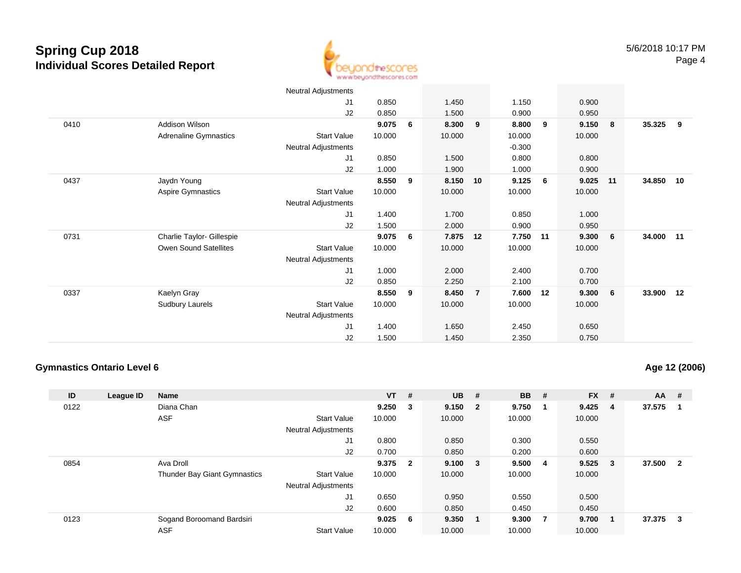

|      |                           | Neutral Adjustments |        |    |        |                |          |    |        |     |        |    |
|------|---------------------------|---------------------|--------|----|--------|----------------|----------|----|--------|-----|--------|----|
|      |                           | J1                  | 0.850  |    | 1.450  |                | 1.150    |    | 0.900  |     |        |    |
|      |                           | J2                  | 0.850  |    | 1.500  |                | 0.900    |    | 0.950  |     |        |    |
| 0410 | Addison Wilson            |                     | 9.075  | 6  | 8.300  | 9              | 8.800    | 9  | 9.150  | -8  | 35.325 | 9  |
|      | Adrenaline Gymnastics     | <b>Start Value</b>  | 10.000 |    | 10.000 |                | 10.000   |    | 10.000 |     |        |    |
|      |                           | Neutral Adjustments |        |    |        |                | $-0.300$ |    |        |     |        |    |
|      |                           | J1                  | 0.850  |    | 1.500  |                | 0.800    |    | 0.800  |     |        |    |
|      |                           | J2                  | 1.000  |    | 1.900  |                | 1.000    |    | 0.900  |     |        |    |
| 0437 | Jaydn Young               |                     | 8.550  | 9  | 8.150  | 10             | 9.125    | 6  | 9.025  | 11  | 34.850 | 10 |
|      | Aspire Gymnastics         | <b>Start Value</b>  | 10.000 |    | 10.000 |                | 10.000   |    | 10.000 |     |        |    |
|      |                           | Neutral Adjustments |        |    |        |                |          |    |        |     |        |    |
|      |                           | J1                  | 1.400  |    | 1.700  |                | 0.850    |    | 1.000  |     |        |    |
|      |                           | J2                  | 1.500  |    | 2.000  |                | 0.900    |    | 0.950  |     |        |    |
| 0731 | Charlie Taylor- Gillespie |                     | 9.075  | -6 | 7.875  | 12             | 7.750    | 11 | 9.300  | - 6 | 34.000 | 11 |
|      | Owen Sound Satellites     | <b>Start Value</b>  | 10.000 |    | 10.000 |                | 10.000   |    | 10.000 |     |        |    |
|      |                           | Neutral Adjustments |        |    |        |                |          |    |        |     |        |    |
|      |                           | J1                  | 1.000  |    | 2.000  |                | 2.400    |    | 0.700  |     |        |    |
|      |                           | J2                  | 0.850  |    | 2.250  |                | 2.100    |    | 0.700  |     |        |    |
| 0337 | Kaelyn Gray               |                     | 8.550  | 9  | 8.450  | $\overline{7}$ | 7.600    | 12 | 9.300  | - 6 | 33.900 | 12 |
|      | <b>Sudbury Laurels</b>    | <b>Start Value</b>  | 10.000 |    | 10.000 |                | 10.000   |    | 10.000 |     |        |    |
|      |                           | Neutral Adjustments |        |    |        |                |          |    |        |     |        |    |
|      |                           | J <sub>1</sub>      | 1.400  |    | 1.650  |                | 2.450    |    | 0.650  |     |        |    |
|      |                           | J2                  | 1.500  |    | 1.450  |                | 2.350    |    | 0.750  |     |        |    |

#### **Gymnastics Ontario Level 6**

**Age 12 (2006)**

| ID   | League ID | <b>Name</b>                         |                            | $VT$ #  |     | $UB$ #      | <b>BB</b> | #              | <b>FX</b> | #      | AA     | #                       |
|------|-----------|-------------------------------------|----------------------------|---------|-----|-------------|-----------|----------------|-----------|--------|--------|-------------------------|
| 0122 |           | Diana Chan                          |                            | 9.250   | 3   | 9.150 2     | 9.750     | - 1            | 9.425     | -4     | 37.575 |                         |
|      |           | <b>ASF</b>                          | <b>Start Value</b>         | 10.000  |     | 10.000      | 10.000    |                | 10.000    |        |        |                         |
|      |           |                                     | <b>Neutral Adjustments</b> |         |     |             |           |                |           |        |        |                         |
|      |           |                                     | J1                         | 0.800   |     | 0.850       | 0.300     |                | 0.550     |        |        |                         |
|      |           |                                     | J2                         | 0.700   |     | 0.850       | 0.200     |                | 0.600     |        |        |                         |
| 0854 |           | Ava Droll                           |                            | 9.375 2 |     | $9.100 \t3$ | 9.5004    |                | 9.525     | $_{3}$ | 37.500 | $\overline{\mathbf{2}}$ |
|      |           | <b>Thunder Bay Giant Gymnastics</b> | <b>Start Value</b>         | 10.000  |     | 10.000      | 10.000    |                | 10.000    |        |        |                         |
|      |           |                                     | <b>Neutral Adjustments</b> |         |     |             |           |                |           |        |        |                         |
|      |           |                                     | J1                         | 0.650   |     | 0.950       | 0.550     |                | 0.500     |        |        |                         |
|      |           |                                     | J2                         | 0.600   |     | 0.850       | 0.450     |                | 0.450     |        |        |                         |
| 0123 |           | Sogand Boroomand Bardsiri           |                            | 9.025   | - 6 | 9.350       | 9.300     | $\overline{7}$ | 9.700     | - 1    | 37.375 | - 3                     |
|      |           | <b>ASF</b>                          | <b>Start Value</b>         | 10.000  |     | 10.000      | 10.000    |                | 10.000    |        |        |                         |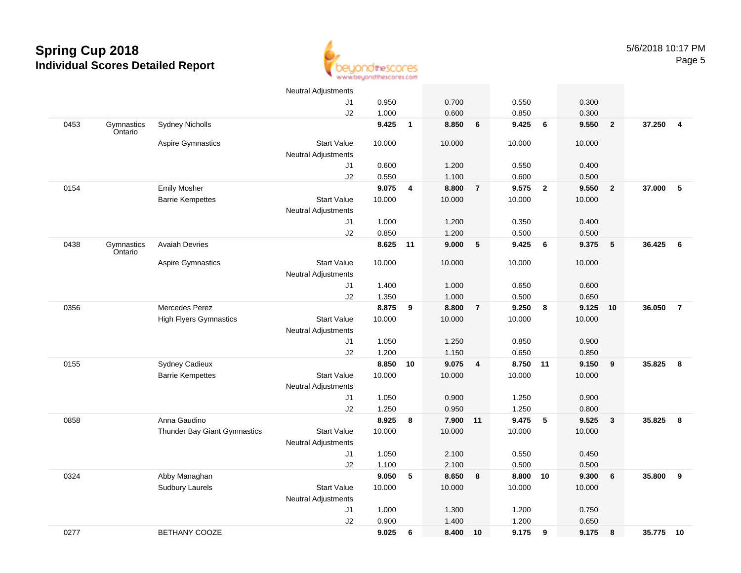

|      |                       |                               | Neutral Adjustments        |        |              |        |                         |        |                |        |                |        |                 |
|------|-----------------------|-------------------------------|----------------------------|--------|--------------|--------|-------------------------|--------|----------------|--------|----------------|--------|-----------------|
|      |                       |                               | J1                         | 0.950  |              | 0.700  |                         | 0.550  |                | 0.300  |                |        |                 |
|      |                       |                               | J2                         | 1.000  |              | 0.600  |                         | 0.850  |                | 0.300  |                |        |                 |
| 0453 | Gymnastics<br>Ontario | <b>Sydney Nicholls</b>        |                            | 9.425  | $\mathbf{1}$ | 8.850  | 6                       | 9.425  | 6              | 9.550  | $\overline{2}$ | 37.250 | $\overline{4}$  |
|      |                       | <b>Aspire Gymnastics</b>      | <b>Start Value</b>         | 10.000 |              | 10.000 |                         | 10.000 |                | 10.000 |                |        |                 |
|      |                       |                               | <b>Neutral Adjustments</b> |        |              |        |                         |        |                |        |                |        |                 |
|      |                       |                               | J1                         | 0.600  |              | 1.200  |                         | 0.550  |                | 0.400  |                |        |                 |
|      |                       |                               | J2                         | 0.550  |              | 1.100  |                         | 0.600  |                | 0.500  |                |        |                 |
| 0154 |                       | <b>Emily Mosher</b>           |                            | 9.075  | 4            | 8.800  | $\overline{7}$          | 9.575  | $\overline{2}$ | 9.550  | $\overline{2}$ | 37.000 | $-5$            |
|      |                       | <b>Barrie Kempettes</b>       | <b>Start Value</b>         | 10.000 |              | 10.000 |                         | 10.000 |                | 10.000 |                |        |                 |
|      |                       |                               | <b>Neutral Adjustments</b> |        |              |        |                         |        |                |        |                |        |                 |
|      |                       |                               | J <sub>1</sub>             | 1.000  |              | 1.200  |                         | 0.350  |                | 0.400  |                |        |                 |
|      |                       |                               | J2                         | 0.850  |              | 1.200  |                         | 0.500  |                | 0.500  |                |        |                 |
| 0438 | Gymnastics<br>Ontario | <b>Avaiah Devries</b>         |                            | 8.625  | 11           | 9.000  | 5                       | 9.425  | 6              | 9.375  | ${\bf 5}$      | 36.425 | $6\phantom{1}6$ |
|      |                       | <b>Aspire Gymnastics</b>      | <b>Start Value</b>         | 10.000 |              | 10.000 |                         | 10.000 |                | 10.000 |                |        |                 |
|      |                       |                               | <b>Neutral Adjustments</b> |        |              |        |                         |        |                |        |                |        |                 |
|      |                       |                               | J1                         | 1.400  |              | 1.000  |                         | 0.650  |                | 0.600  |                |        |                 |
|      |                       |                               | J2                         | 1.350  |              | 1.000  |                         | 0.500  |                | 0.650  |                |        |                 |
| 0356 |                       | Mercedes Perez                |                            | 8.875  | 9            | 8.800  | $\overline{7}$          | 9.250  | 8              | 9.125  | 10             | 36.050 | $\overline{7}$  |
|      |                       | <b>High Flyers Gymnastics</b> | <b>Start Value</b>         | 10.000 |              | 10.000 |                         | 10.000 |                | 10.000 |                |        |                 |
|      |                       |                               | <b>Neutral Adjustments</b> |        |              |        |                         |        |                |        |                |        |                 |
|      |                       |                               | J1                         | 1.050  |              | 1.250  |                         | 0.850  |                | 0.900  |                |        |                 |
|      |                       |                               | J2                         | 1.200  |              | 1.150  |                         | 0.650  |                | 0.850  |                |        |                 |
| 0155 |                       | <b>Sydney Cadieux</b>         |                            | 8.850  | 10           | 9.075  | $\overline{\mathbf{4}}$ | 8.750  | 11             | 9.150  | 9              | 35.825 | 8               |
|      |                       | <b>Barrie Kempettes</b>       | <b>Start Value</b>         | 10.000 |              | 10.000 |                         | 10.000 |                | 10.000 |                |        |                 |
|      |                       |                               | Neutral Adjustments        |        |              |        |                         |        |                |        |                |        |                 |
|      |                       |                               | J1                         | 1.050  |              | 0.900  |                         | 1.250  |                | 0.900  |                |        |                 |
|      |                       |                               | J2                         | 1.250  |              | 0.950  |                         | 1.250  |                | 0.800  |                |        |                 |
| 0858 |                       | Anna Gaudino                  |                            | 8.925  | 8            | 7.900  | $-11$                   | 9.475  | 5              | 9.525  | 3              | 35.825 | 8               |
|      |                       | Thunder Bay Giant Gymnastics  | <b>Start Value</b>         | 10.000 |              | 10.000 |                         | 10.000 |                | 10.000 |                |        |                 |
|      |                       |                               | <b>Neutral Adjustments</b> |        |              |        |                         |        |                |        |                |        |                 |
|      |                       |                               | J1                         | 1.050  |              | 2.100  |                         | 0.550  |                | 0.450  |                |        |                 |
|      |                       |                               | J2                         | 1.100  |              | 2.100  |                         | 0.500  |                | 0.500  |                |        |                 |
| 0324 |                       | Abby Managhan                 |                            | 9.050  | 5            | 8.650  | 8                       | 8.800  | 10             | 9.300  | 6              | 35.800 | 9               |
|      |                       | <b>Sudbury Laurels</b>        | <b>Start Value</b>         | 10.000 |              | 10.000 |                         | 10.000 |                | 10.000 |                |        |                 |
|      |                       |                               | <b>Neutral Adjustments</b> |        |              |        |                         |        |                |        |                |        |                 |
|      |                       |                               | J1                         | 1.000  |              | 1.300  |                         | 1.200  |                | 0.750  |                |        |                 |
|      |                       |                               | J2                         | 0.900  |              | 1.400  |                         | 1.200  |                | 0.650  |                |        |                 |
| 0277 |                       | <b>BETHANY COOZE</b>          |                            | 9.025  | 6            | 8.400  | 10                      | 9.175  | 9              | 9.175  | 8              | 35.775 | 10              |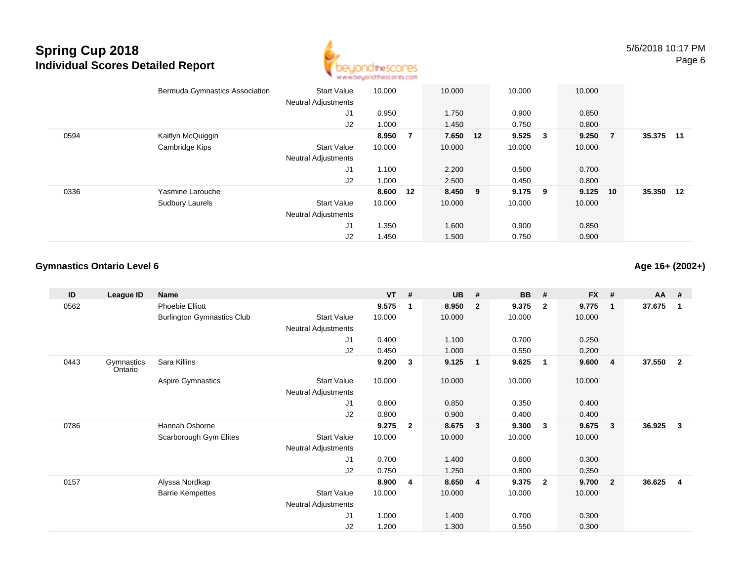

|      | Bermuda Gymnastics Association | <b>Start Value</b>         | 10.000   |   | 10.000   | 10.000 |              | 10.000 |     |           |       |
|------|--------------------------------|----------------------------|----------|---|----------|--------|--------------|--------|-----|-----------|-------|
|      |                                | <b>Neutral Adjustments</b> |          |   |          |        |              |        |     |           |       |
|      |                                | J <sub>1</sub>             | 0.950    |   | 1.750    | 0.900  |              | 0.850  |     |           |       |
|      |                                | J2                         | 1.000    |   | 1.450    | 0.750  |              | 0.800  |     |           |       |
| 0594 | Kaitlyn McQuiggin              |                            | 8.950    | 7 | 7.650 12 | 9.525  | $\mathbf{3}$ | 9.250  | - 7 | 35.375    | $-11$ |
|      | Cambridge Kips                 | <b>Start Value</b>         | 10.000   |   | 10.000   | 10.000 |              | 10.000 |     |           |       |
|      |                                | <b>Neutral Adjustments</b> |          |   |          |        |              |        |     |           |       |
|      |                                | J1                         | 1.100    |   | 2.200    | 0.500  |              | 0.700  |     |           |       |
|      |                                | J2                         | 1.000    |   | 2.500    | 0.450  |              | 0.800  |     |           |       |
| 0336 | Yasmine Larouche               |                            | 8.600 12 |   | 8.450 9  | 9.175  | - 9          | 9.125  | 10  | 35.350 12 |       |
|      | <b>Sudbury Laurels</b>         | <b>Start Value</b>         | 10.000   |   | 10.000   | 10.000 |              | 10.000 |     |           |       |
|      |                                | <b>Neutral Adjustments</b> |          |   |          |        |              |        |     |           |       |
|      |                                | J <sub>1</sub>             | 1.350    |   | 1.600    | 0.900  |              | 0.850  |     |           |       |
|      |                                | J2                         | 1.450    |   | 1.500    | 0.750  |              | 0.900  |     |           |       |

#### **Gymnastics Ontario Level 6**

**Age 16+ (2002+)**

| ID   | League ID             | <b>Name</b>                       |                            | <b>VT</b> | #            | <b>UB</b> | #                       | <b>BB</b> | #                        | <b>FX</b> | #              | AA #   |              |
|------|-----------------------|-----------------------------------|----------------------------|-----------|--------------|-----------|-------------------------|-----------|--------------------------|-----------|----------------|--------|--------------|
| 0562 |                       | <b>Phoebie Elliott</b>            |                            | 9.575     | -1           | 8.950     | $\overline{2}$          | 9.375     | $\mathbf{2}$             | 9.775     | $\mathbf{1}$   | 37.675 | 1            |
|      |                       | <b>Burlington Gymnastics Club</b> | <b>Start Value</b>         | 10.000    |              | 10.000    |                         | 10.000    |                          | 10.000    |                |        |              |
|      |                       |                                   | <b>Neutral Adjustments</b> |           |              |           |                         |           |                          |           |                |        |              |
|      |                       |                                   | J1                         | 0.400     |              | 1.100     |                         | 0.700     |                          | 0.250     |                |        |              |
|      |                       |                                   | J2                         | 0.450     |              | 1.000     |                         | 0.550     |                          | 0.200     |                |        |              |
| 0443 | Gymnastics<br>Ontario | Sara Killins                      |                            | 9.200     | 3            | 9.125     | $\overline{\mathbf{1}}$ | 9.625     | $\overline{\phantom{0}}$ | 9.600     | $\overline{4}$ | 37.550 | $\mathbf{2}$ |
|      |                       | Aspire Gymnastics                 | <b>Start Value</b>         | 10.000    |              | 10.000    |                         | 10.000    |                          | 10.000    |                |        |              |
|      |                       |                                   | Neutral Adjustments        |           |              |           |                         |           |                          |           |                |        |              |
|      |                       |                                   | J1                         | 0.800     |              | 0.850     |                         | 0.350     |                          | 0.400     |                |        |              |
|      |                       |                                   | J2                         | 0.800     |              | 0.900     |                         | 0.400     |                          | 0.400     |                |        |              |
| 0786 |                       | Hannah Osborne                    |                            | 9.275     | $\mathbf{2}$ | 8.675     | $\mathbf{3}$            | 9.300     | $\mathbf{3}$             | 9.675     | $\mathbf{3}$   | 36.925 | $\mathbf{3}$ |
|      |                       | Scarborough Gym Elites            | <b>Start Value</b>         | 10.000    |              | 10.000    |                         | 10.000    |                          | 10.000    |                |        |              |
|      |                       |                                   | <b>Neutral Adjustments</b> |           |              |           |                         |           |                          |           |                |        |              |
|      |                       |                                   | J1                         | 0.700     |              | 1.400     |                         | 0.600     |                          | 0.300     |                |        |              |
|      |                       |                                   | J2                         | 0.750     |              | 1.250     |                         | 0.800     |                          | 0.350     |                |        |              |
| 0157 |                       | Alyssa Nordkap                    |                            | 8.900     | 4            | 8.650     | $\overline{4}$          | 9.375     | $\overline{\mathbf{2}}$  | 9.700     | $\overline{2}$ | 36.625 | 4            |
|      |                       | <b>Barrie Kempettes</b>           | <b>Start Value</b>         | 10.000    |              | 10.000    |                         | 10.000    |                          | 10.000    |                |        |              |
|      |                       |                                   | <b>Neutral Adjustments</b> |           |              |           |                         |           |                          |           |                |        |              |
|      |                       |                                   | J <sub>1</sub>             | 1.000     |              | 1.400     |                         | 0.700     |                          | 0.300     |                |        |              |
|      |                       |                                   | J <sub>2</sub>             | 1.200     |              | 1.300     |                         | 0.550     |                          | 0.300     |                |        |              |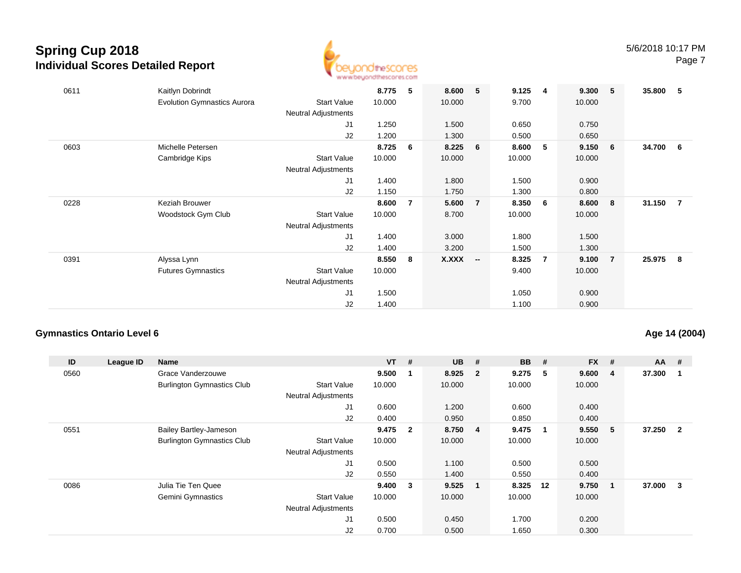

| 0611 | Kaitlyn Dobrindt<br><b>Evolution Gymnastics Aurora</b> | <b>Start Value</b><br>Neutral Adjustments        | 8.775<br>10.000 | - 5            | 8.600<br>10.000 | 5                        | 9.125<br>9.700  | -4          | 9.300<br>10.000 | 5              | 35.800 | - 5            |
|------|--------------------------------------------------------|--------------------------------------------------|-----------------|----------------|-----------------|--------------------------|-----------------|-------------|-----------------|----------------|--------|----------------|
|      |                                                        | J1<br>J2                                         | 1.250<br>1.200  |                | 1.500<br>1.300  |                          | 0.650<br>0.500  |             | 0.750<br>0.650  |                |        |                |
| 0603 | Michelle Petersen<br>Cambridge Kips                    | <b>Start Value</b><br><b>Neutral Adjustments</b> | 8.725<br>10.000 | 6              | 8.225<br>10.000 | 6                        | 8.600<br>10.000 | $5^{\circ}$ | 9.150<br>10.000 | - 6            | 34.700 | - 6            |
|      |                                                        | J1<br>J2                                         | 1.400<br>1.150  |                | 1.800<br>1.750  |                          | 1.500<br>1.300  |             | 0.900<br>0.800  |                |        |                |
| 0228 | Keziah Brouwer<br>Woodstock Gym Club                   | <b>Start Value</b><br>Neutral Adjustments        | 8.600<br>10.000 | $\overline{7}$ | 5.600<br>8.700  | $\overline{7}$           | 8.350<br>10.000 | - 6         | 8.600<br>10.000 | 8              | 31.150 | $\overline{7}$ |
|      |                                                        | J1<br>J2                                         | 1.400<br>1.400  |                | 3.000<br>3.200  |                          | 1.800<br>1.500  |             | 1.500<br>1.300  |                |        |                |
| 0391 | Alyssa Lynn<br><b>Futures Gymnastics</b>               | <b>Start Value</b><br><b>Neutral Adjustments</b> | 8.550<br>10.000 | 8              | X.XXX           | $\overline{\phantom{a}}$ | 8.325<br>9.400  | -7          | 9.100<br>10.000 | $\overline{7}$ | 25.975 | - 8            |
|      |                                                        | J1<br>J2                                         | 1.500<br>1.400  |                |                 |                          | 1.050<br>1.100  |             | 0.900<br>0.900  |                |        |                |

#### **Gymnastics Ontario Level 6**

#### **Age 14 (2004)**

| ID   | League ID | Name                              |                            | $VT$ #  |                | <b>UB</b> | #                       | <b>BB</b> | #           | <b>FX</b> | #  | $AA$ # |                |
|------|-----------|-----------------------------------|----------------------------|---------|----------------|-----------|-------------------------|-----------|-------------|-----------|----|--------|----------------|
| 0560 |           | Grace Vanderzouwe                 |                            | 9.500   | -1             | 8.925     | $\overline{\mathbf{2}}$ | 9.275     | - 5         | 9.600     | 4  | 37.300 |                |
|      |           | <b>Burlington Gymnastics Club</b> | <b>Start Value</b>         | 10.000  |                | 10.000    |                         | 10.000    |             | 10.000    |    |        |                |
|      |           |                                   | <b>Neutral Adjustments</b> |         |                |           |                         |           |             |           |    |        |                |
|      |           |                                   | J <sub>1</sub>             | 0.600   |                | 1.200     |                         | 0.600     |             | 0.400     |    |        |                |
|      |           |                                   | J2                         | 0.400   |                | 0.950     |                         | 0.850     |             | 0.400     |    |        |                |
| 0551 |           | <b>Bailey Bartley-Jameson</b>     |                            | 9.475   | $\overline{2}$ | 8.750     | $\overline{\mathbf{4}}$ | 9.475     | $\mathbf 1$ | 9.550     | 5  | 37.250 | $\overline{2}$ |
|      |           | <b>Burlington Gymnastics Club</b> | <b>Start Value</b>         | 10.000  |                | 10.000    |                         | 10.000    |             | 10.000    |    |        |                |
|      |           |                                   | <b>Neutral Adjustments</b> |         |                |           |                         |           |             |           |    |        |                |
|      |           |                                   | J <sub>1</sub>             | 0.500   |                | 1.100     |                         | 0.500     |             | 0.500     |    |        |                |
|      |           |                                   | J2                         | 0.550   |                | 1.400     |                         | 0.550     |             | 0.400     |    |        |                |
| 0086 |           | Julia Tie Ten Quee                |                            | 9.400 3 |                | 9.525     | $\blacksquare$          | 8.325     | 12          | 9.750     | -1 | 37.000 | 3              |
|      |           | Gemini Gymnastics                 | <b>Start Value</b>         | 10.000  |                | 10.000    |                         | 10.000    |             | 10.000    |    |        |                |
|      |           |                                   | <b>Neutral Adjustments</b> |         |                |           |                         |           |             |           |    |        |                |
|      |           |                                   | J <sub>1</sub>             | 0.500   |                | 0.450     |                         | 1.700     |             | 0.200     |    |        |                |
|      |           |                                   | J2                         | 0.700   |                | 0.500     |                         | 1.650     |             | 0.300     |    |        |                |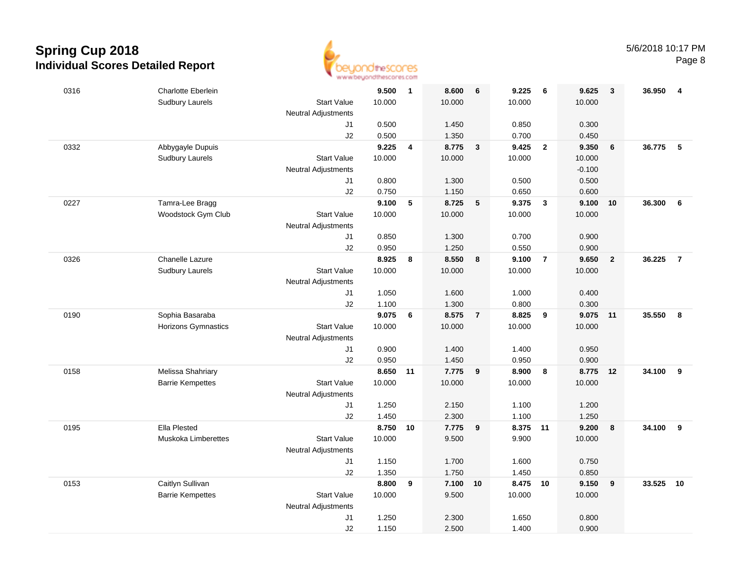

|      |                           | <b>THE THE TRIVIAN WANT THAT</b> |                |                         |                |                         |                |                         |                |                |        |                 |
|------|---------------------------|----------------------------------|----------------|-------------------------|----------------|-------------------------|----------------|-------------------------|----------------|----------------|--------|-----------------|
| 0316 | <b>Charlotte Eberlein</b> |                                  | 9.500          | $\overline{\mathbf{1}}$ | 8.600          | 6                       | 9.225          | - 6                     | 9.625          | $\mathbf{3}$   | 36.950 | $\overline{4}$  |
|      | <b>Sudbury Laurels</b>    | <b>Start Value</b>               | 10.000         |                         | 10.000         |                         | 10.000         |                         | 10.000         |                |        |                 |
|      |                           | <b>Neutral Adjustments</b>       |                |                         |                |                         |                |                         |                |                |        |                 |
|      |                           | J1                               | 0.500          |                         | 1.450          |                         | 0.850          |                         | 0.300          |                |        |                 |
|      |                           | J2                               | 0.500          |                         | 1.350          |                         | 0.700          |                         | 0.450          |                |        |                 |
| 0332 | Abbygayle Dupuis          |                                  | 9.225          | $\overline{\mathbf{4}}$ | 8.775          | $\mathbf{3}$            | 9.425          | $\overline{2}$          | 9.350          | 6              | 36.775 | $5\phantom{.0}$ |
|      | Sudbury Laurels           | <b>Start Value</b>               | 10.000         |                         | 10.000         |                         | 10.000         |                         | 10.000         |                |        |                 |
|      |                           | <b>Neutral Adjustments</b>       |                |                         |                |                         |                |                         | $-0.100$       |                |        |                 |
|      |                           | J1                               | 0.800          |                         | 1.300          |                         | 0.500          |                         | 0.500          |                |        |                 |
|      |                           | J2                               | 0.750          |                         | 1.150          |                         | 0.650          |                         | 0.600          |                |        |                 |
| 0227 | Tamra-Lee Bragg           |                                  | 9.100          | 5                       | 8.725          | $5\phantom{1}$          | 9.375          | $\overline{\mathbf{3}}$ | 9.100          | 10             | 36.300 | 6               |
|      | Woodstock Gym Club        | <b>Start Value</b>               | 10.000         |                         | 10.000         |                         | 10.000         |                         | 10.000         |                |        |                 |
|      |                           | <b>Neutral Adjustments</b>       |                |                         |                |                         |                |                         |                |                |        |                 |
|      |                           | J1                               | 0.850          |                         | 1.300          |                         | 0.700          |                         | 0.900          |                |        |                 |
|      |                           | J2                               | 0.950          |                         | 1.250          |                         | 0.550          |                         | 0.900          |                |        |                 |
| 0326 | Chanelle Lazure           |                                  | 8.925          | 8                       | 8.550          | 8                       | 9.100 7        |                         | 9.650          | $\overline{2}$ | 36.225 | $\overline{7}$  |
|      | <b>Sudbury Laurels</b>    | <b>Start Value</b>               | 10.000         |                         | 10.000         |                         | 10.000         |                         | 10.000         |                |        |                 |
|      |                           | <b>Neutral Adjustments</b>       |                |                         |                |                         |                |                         |                |                |        |                 |
|      |                           | J1                               | 1.050          |                         | 1.600          |                         | 1.000          |                         | 0.400          |                |        |                 |
|      |                           | J2                               | 1.100          |                         | 1.300          |                         | 0.800          |                         | 0.300          |                |        |                 |
| 0190 | Sophia Basaraba           |                                  | 9.075          | 6                       | 8.575          | $\overline{7}$          | 8.825          | 9                       | 9.075          | 11             | 35.550 | 8               |
|      | Horizons Gymnastics       | <b>Start Value</b>               | 10.000         |                         | 10.000         |                         | 10.000         |                         | 10.000         |                |        |                 |
|      |                           | Neutral Adjustments              |                |                         |                |                         |                |                         |                |                |        |                 |
|      |                           | J1                               | 0.900          |                         | 1.400          |                         | 1.400          |                         | 0.950          |                |        |                 |
|      |                           | J2                               | 0.950          |                         | 1.450          |                         | 0.950          |                         | 0.900          |                |        |                 |
| 0158 | Melissa Shahriary         |                                  | 8.650 11       |                         | 7.775          | 9                       | 8.900          | 8                       | 8.775          | 12             | 34.100 | 9               |
|      | <b>Barrie Kempettes</b>   | <b>Start Value</b>               | 10.000         |                         | 10.000         |                         | 10.000         |                         | 10.000         |                |        |                 |
|      |                           | <b>Neutral Adjustments</b>       |                |                         |                |                         |                |                         |                |                |        |                 |
|      |                           | J1<br>J2                         | 1.250<br>1.450 |                         | 2.150<br>2.300 |                         | 1.100<br>1.100 |                         | 1.200<br>1.250 |                |        |                 |
| 0195 | Ella Plested              |                                  | 8.750          | 10                      | 7.775          | $\overline{\mathbf{9}}$ | 8.375 11       |                         | 9.200          | 8              | 34.100 | 9               |
|      | Muskoka Limberettes       | <b>Start Value</b>               | 10.000         |                         | 9.500          |                         | 9.900          |                         | 10.000         |                |        |                 |
|      |                           | <b>Neutral Adjustments</b>       |                |                         |                |                         |                |                         |                |                |        |                 |
|      |                           | J1                               | 1.150          |                         | 1.700          |                         | 1.600          |                         | 0.750          |                |        |                 |
|      |                           | J2                               | 1.350          |                         | 1.750          |                         | 1.450          |                         | 0.850          |                |        |                 |
| 0153 | Caitlyn Sullivan          |                                  | 8.800          | 9                       | 7.100 10       |                         | 8.475 10       |                         | 9.150          | 9              | 33.525 | 10              |
|      | <b>Barrie Kempettes</b>   | <b>Start Value</b>               | 10.000         |                         | 9.500          |                         | 10.000         |                         | 10.000         |                |        |                 |
|      |                           | <b>Neutral Adjustments</b>       |                |                         |                |                         |                |                         |                |                |        |                 |
|      |                           | J1                               | 1.250          |                         | 2.300          |                         | 1.650          |                         | 0.800          |                |        |                 |
|      |                           | J2                               | 1.150          |                         | 2.500          |                         | 1.400          |                         | 0.900          |                |        |                 |
|      |                           |                                  |                |                         |                |                         |                |                         |                |                |        |                 |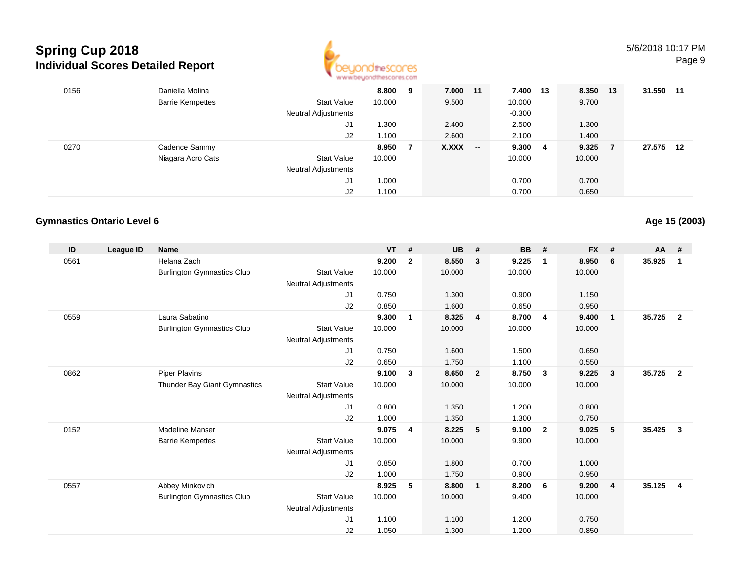

| 0156 | Daniella Molina         |                     | 8.800  | 9 | 7.000 11 |                          | 7.400 13 |     | 8.350  | 13 | 31.550 | 11 |
|------|-------------------------|---------------------|--------|---|----------|--------------------------|----------|-----|--------|----|--------|----|
|      | <b>Barrie Kempettes</b> | <b>Start Value</b>  | 10.000 |   | 9.500    |                          | 10.000   |     | 9.700  |    |        |    |
|      |                         | Neutral Adjustments |        |   |          |                          | $-0.300$ |     |        |    |        |    |
|      |                         | J1                  | .300   |   | 2.400    |                          | 2.500    |     | 1.300  |    |        |    |
|      |                         | J2                  | 1.100  |   | 2.600    |                          | 2.100    |     | 1.400  |    |        |    |
| 0270 | Cadence Sammy           |                     | 8.950  |   | X.XXX    | $\overline{\phantom{a}}$ | 9.300    | - 4 | 9.325  |    | 27.575 | 12 |
|      | Niagara Acro Cats       | <b>Start Value</b>  | 10.000 |   |          |                          | 10.000   |     | 10.000 |    |        |    |
|      |                         | Neutral Adjustments |        |   |          |                          |          |     |        |    |        |    |
|      |                         | J1                  | 1.000  |   |          |                          | 0.700    |     | 0.700  |    |        |    |
|      |                         | J2                  | 1.100  |   |          |                          | 0.700    |     | 0.650  |    |        |    |

#### **Gymnastics Ontario Level 6**

| ID   | League ID | <b>Name</b>                       |                            | <b>VT</b> | #              | <b>UB</b> | #                       | <b>BB</b> | #                       | <b>FX</b> | #                       | <b>AA</b> | #              |
|------|-----------|-----------------------------------|----------------------------|-----------|----------------|-----------|-------------------------|-----------|-------------------------|-----------|-------------------------|-----------|----------------|
| 0561 |           | Helana Zach                       |                            | 9.200     | $\mathbf{2}$   | 8.550     | 3                       | 9.225     | $\mathbf{1}$            | 8.950     | 6                       | 35.925    | $\mathbf 1$    |
|      |           | <b>Burlington Gymnastics Club</b> | <b>Start Value</b>         | 10.000    |                | 10.000    |                         | 10.000    |                         | 10.000    |                         |           |                |
|      |           |                                   | <b>Neutral Adjustments</b> |           |                |           |                         |           |                         |           |                         |           |                |
|      |           |                                   | J1                         | 0.750     |                | 1.300     |                         | 0.900     |                         | 1.150     |                         |           |                |
|      |           |                                   | J2                         | 0.850     |                | 1.600     |                         | 0.650     |                         | 0.950     |                         |           |                |
| 0559 |           | Laura Sabatino                    |                            | 9.300     | 1              | 8.325     | $\overline{4}$          | 8.700     | -4                      | 9.400     | $\mathbf{1}$            | 35.725    | $\overline{2}$ |
|      |           | <b>Burlington Gymnastics Club</b> | <b>Start Value</b>         | 10.000    |                | 10.000    |                         | 10.000    |                         | 10.000    |                         |           |                |
|      |           |                                   | <b>Neutral Adjustments</b> |           |                |           |                         |           |                         |           |                         |           |                |
|      |           |                                   | J <sub>1</sub>             | 0.750     |                | 1.600     |                         | 1.500     |                         | 0.650     |                         |           |                |
|      |           |                                   | J2                         | 0.650     |                | 1.750     |                         | 1.100     |                         | 0.550     |                         |           |                |
| 0862 |           | <b>Piper Plavins</b>              |                            | 9.100     | $\mathbf{3}$   | 8.650     | $\overline{\mathbf{2}}$ | 8.750     | $\overline{\mathbf{3}}$ | 9.225     | $\overline{\mathbf{3}}$ | 35.725    | $\overline{2}$ |
|      |           | Thunder Bay Giant Gymnastics      | <b>Start Value</b>         | 10.000    |                | 10.000    |                         | 10.000    |                         | 10.000    |                         |           |                |
|      |           |                                   | <b>Neutral Adjustments</b> |           |                |           |                         |           |                         |           |                         |           |                |
|      |           |                                   | J <sub>1</sub>             | 0.800     |                | 1.350     |                         | 1.200     |                         | 0.800     |                         |           |                |
|      |           |                                   | J2                         | 1.000     |                | 1.350     |                         | 1.300     |                         | 0.750     |                         |           |                |
| 0152 |           | <b>Madeline Manser</b>            |                            | 9.075     | $\overline{4}$ | 8.225     | - 5                     | 9.100     | $\overline{2}$          | 9.025     | 5                       | 35.425    | $\mathbf{3}$   |
|      |           | <b>Barrie Kempettes</b>           | <b>Start Value</b>         | 10.000    |                | 10.000    |                         | 9.900     |                         | 10.000    |                         |           |                |
|      |           |                                   | <b>Neutral Adjustments</b> |           |                |           |                         |           |                         |           |                         |           |                |
|      |           |                                   | J <sub>1</sub>             | 0.850     |                | 1.800     |                         | 0.700     |                         | 1.000     |                         |           |                |
|      |           |                                   | J2                         | 1.000     |                | 1.750     |                         | 0.900     |                         | 0.950     |                         |           |                |
| 0557 |           | Abbey Minkovich                   |                            | 8.925     | 5              | 8.800     | $\overline{\mathbf{1}}$ | 8.200     | 6                       | 9.200     | $\overline{4}$          | 35.125    | $\overline{4}$ |
|      |           | <b>Burlington Gymnastics Club</b> | <b>Start Value</b>         | 10.000    |                | 10.000    |                         | 9.400     |                         | 10.000    |                         |           |                |
|      |           |                                   | <b>Neutral Adjustments</b> |           |                |           |                         |           |                         |           |                         |           |                |
|      |           |                                   | J <sub>1</sub>             | 1.100     |                | 1.100     |                         | 1.200     |                         | 0.750     |                         |           |                |
|      |           |                                   | J <sub>2</sub>             | 1.050     |                | 1.300     |                         | 1.200     |                         | 0.850     |                         |           |                |

#### **Age 15 (2003)**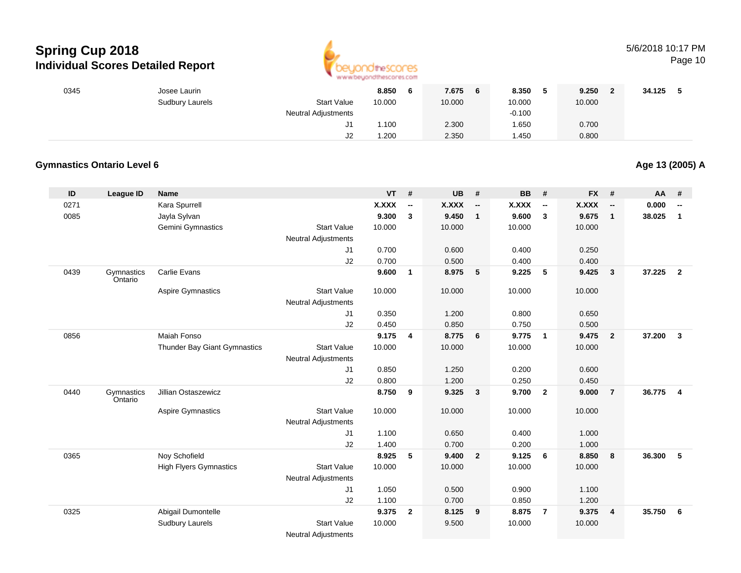

### 5/6/2018 10:17 PM

Page 10

| 0345 | Josee Laurin    |                            | 8.850  | 7.675<br>6 | 8.350    | 9.250  | 34.125 |
|------|-----------------|----------------------------|--------|------------|----------|--------|--------|
|      | Sudbury Laurels | <b>Start Value</b>         | 10.000 | 10.000     | 10.000   | 10.000 |        |
|      |                 | <b>Neutral Adjustments</b> |        |            | $-0.100$ |        |        |
|      |                 | J1                         | .100   | 2.300      | .650     | 0.700  |        |
|      |                 | J2                         | .200   | 2.350      | 1.450    | 0.800  |        |

#### **Gymnastics Ontario Level 6**

**Age 13 (2005) A**

| ID   | <b>League ID</b>      | <b>Name</b>                   |                                                  | <b>VT</b>    | #            | <b>UB</b>    | #                        | <b>BB</b> | #                        | <b>FX</b>    | #                        | <b>AA</b> | #                        |
|------|-----------------------|-------------------------------|--------------------------------------------------|--------------|--------------|--------------|--------------------------|-----------|--------------------------|--------------|--------------------------|-----------|--------------------------|
| 0271 |                       | Kara Spurrell                 |                                                  | <b>X.XXX</b> | --           | <b>X.XXX</b> | $\overline{\phantom{a}}$ | X.XXX     | $\overline{\phantom{a}}$ | <b>X.XXX</b> | $\overline{\phantom{a}}$ | 0.000     | $\overline{\phantom{a}}$ |
| 0085 |                       | Jayla Sylvan                  |                                                  | 9.300        | $\mathbf{3}$ | 9.450        | $\mathbf{1}$             | 9.600     | 3                        | 9.675        | $\mathbf{1}$             | 38.025    | $\mathbf{1}$             |
|      |                       | Gemini Gymnastics             | <b>Start Value</b>                               | 10.000       |              | 10.000       |                          | 10.000    |                          | 10.000       |                          |           |                          |
|      |                       |                               | <b>Neutral Adjustments</b>                       |              |              |              |                          |           |                          |              |                          |           |                          |
|      |                       |                               | J <sub>1</sub>                                   | 0.700        |              | 0.600        |                          | 0.400     |                          | 0.250        |                          |           |                          |
|      |                       |                               | J2                                               | 0.700        |              | 0.500        |                          | 0.400     |                          | 0.400        |                          |           |                          |
| 0439 | Gymnastics<br>Ontario | <b>Carlie Evans</b>           |                                                  | 9.600        | $\mathbf{1}$ | 8.975        | 5                        | 9.225     | 5                        | 9.425        | $\mathbf{3}$             | 37.225    | $\overline{2}$           |
|      |                       | Aspire Gymnastics             | <b>Start Value</b>                               | 10.000       |              | 10.000       |                          | 10.000    |                          | 10.000       |                          |           |                          |
|      |                       |                               | <b>Neutral Adjustments</b>                       |              |              |              |                          |           |                          |              |                          |           |                          |
|      |                       |                               | J1                                               | 0.350        |              | 1.200        |                          | 0.800     |                          | 0.650        |                          |           |                          |
|      |                       |                               | J2                                               | 0.450        |              | 0.850        |                          | 0.750     |                          | 0.500        |                          |           |                          |
| 0856 |                       | Maiah Fonso                   |                                                  | 9.175        | 4            | 8.775        | 6                        | 9.775     | $\overline{\mathbf{1}}$  | 9.475        | $\overline{2}$           | 37.200    | $\mathbf{3}$             |
|      |                       | Thunder Bay Giant Gymnastics  | <b>Start Value</b>                               | 10.000       |              | 10.000       |                          | 10.000    |                          | 10.000       |                          |           |                          |
|      |                       |                               | <b>Neutral Adjustments</b>                       |              |              |              |                          |           |                          |              |                          |           |                          |
|      |                       |                               | J1                                               | 0.850        |              | 1.250        |                          | 0.200     |                          | 0.600        |                          |           |                          |
|      |                       |                               | J2                                               | 0.800        |              | 1.200        |                          | 0.250     |                          | 0.450        |                          |           |                          |
| 0440 | Gymnastics<br>Ontario | Jillian Ostaszewicz           |                                                  | 8.750        | 9            | 9.325        | $\overline{\mathbf{3}}$  | 9.700     | $\overline{\mathbf{2}}$  | 9.000        | $\overline{7}$           | 36.775    | $\overline{\mathbf{4}}$  |
|      |                       | <b>Aspire Gymnastics</b>      | <b>Start Value</b><br><b>Neutral Adjustments</b> | 10.000       |              | 10.000       |                          | 10.000    |                          | 10.000       |                          |           |                          |
|      |                       |                               | J <sub>1</sub>                                   | 1.100        |              | 0.650        |                          | 0.400     |                          | 1.000        |                          |           |                          |
|      |                       |                               | J2                                               | 1.400        |              | 0.700        |                          | 0.200     |                          | 1.000        |                          |           |                          |
| 0365 |                       | Noy Schofield                 |                                                  | 8.925        | 5            | 9.400        | $\overline{2}$           | 9.125     | 6                        | 8.850        | 8                        | 36.300    | 5                        |
|      |                       | <b>High Flyers Gymnastics</b> | <b>Start Value</b>                               | 10.000       |              | 10.000       |                          | 10.000    |                          | 10.000       |                          |           |                          |
|      |                       |                               | <b>Neutral Adjustments</b>                       |              |              |              |                          |           |                          |              |                          |           |                          |
|      |                       |                               | J1                                               | 1.050        |              | 0.500        |                          | 0.900     |                          | 1.100        |                          |           |                          |
|      |                       |                               | J2                                               | 1.100        |              | 0.700        |                          | 0.850     |                          | 1.200        |                          |           |                          |
| 0325 |                       | Abigail Dumontelle            |                                                  | 9.375        | $\mathbf{2}$ | 8.125        | 9                        | 8.875     | $\overline{7}$           | 9.375        | $\overline{4}$           | 35.750    | 6                        |
|      |                       | <b>Sudbury Laurels</b>        | <b>Start Value</b>                               | 10.000       |              | 9.500        |                          | 10.000    |                          | 10.000       |                          |           |                          |
|      |                       |                               | <b>Neutral Adjustments</b>                       |              |              |              |                          |           |                          |              |                          |           |                          |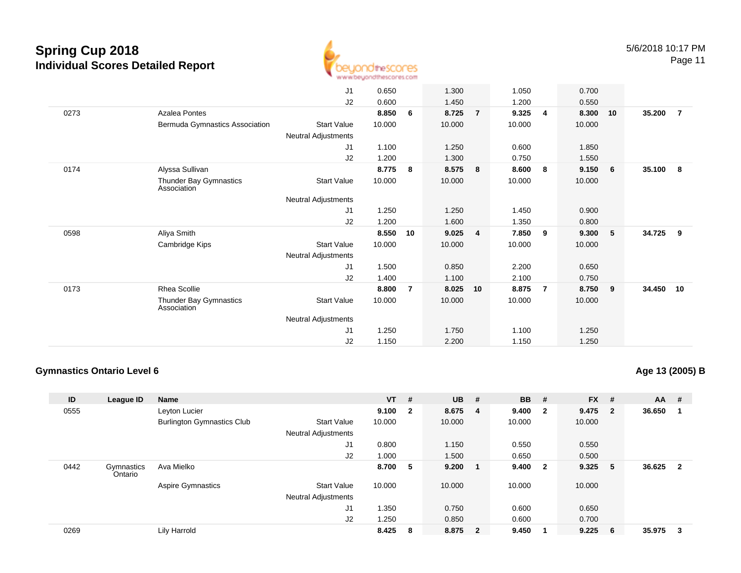

J1 0.650 1.300 1.050 0.700 J2 0.600 1.450 1.200 0.550 0273 Azalea Pontes **8.850 <sup>6</sup> 8.725 <sup>7</sup> 9.325 <sup>4</sup> 8.300 <sup>10</sup> 35.200 <sup>7</sup>** Bermuda Gymnastics Associationn Start Value 10.000 10.000 10.000 10.000 10.000 Neutral Adjustments J1 1.100 1.250 0.600 1.850 J2 1.200 1.300 0.750 1.550 0174 Alyssa Sullivan **8.775 <sup>8</sup> 8.575 <sup>8</sup> 8.600 <sup>8</sup> 9.150 <sup>6</sup> 35.100 <sup>8</sup>** Thunder Bay GymnasticsAssociationStart Valuee 10.000 10.000 10.000 10.000 Neutral Adjustments J1 1.250 1.250 1.450 0.900 J2 1.200 1.600 1.350 0.800 0598 Aliya Smith **8.550 <sup>10</sup> 9.025 <sup>4</sup> 7.850 <sup>9</sup> 9.300 <sup>5</sup> 34.725 <sup>9</sup>** Cambridge Kips Start Valuee 10.000 10.000 10.000 10.000 Neutral Adjustments J1 1.500 0.850 2.200 0.650 J2 1.400 1.100 2.100 0.750 0173 Rhea Scollie **8.800 <sup>7</sup> 8.025 <sup>10</sup> 8.875 <sup>7</sup> 8.750 <sup>9</sup> 34.450 <sup>10</sup>** Thunder Bay GymnasticsAssociationStart Valuee 10.000 10.000 10.000 10.000 Neutral Adjustments J1 1.250 1.750 1.100 1.250 J21.150 2.200 1.150 1.250

#### **Gymnastics Ontario Level 6**

**Age 13 (2005) B**

| ID   | League ID             | Name                              |                            | <b>VT</b> | #            | $UB$ #  | <b>BB</b> | #                       | $FX$ # |                            | <b>AA</b> | #                       |
|------|-----------------------|-----------------------------------|----------------------------|-----------|--------------|---------|-----------|-------------------------|--------|----------------------------|-----------|-------------------------|
| 0555 |                       | Leyton Lucier                     |                            | 9.100     | $\mathbf{2}$ | 8.675 4 | 9.400     | $\overline{\mathbf{2}}$ | 9.475  | $\overline{\phantom{0}}$ 2 | 36.650    |                         |
|      |                       | <b>Burlington Gymnastics Club</b> | <b>Start Value</b>         | 10.000    |              | 10.000  | 10.000    |                         | 10.000 |                            |           |                         |
|      |                       |                                   | <b>Neutral Adjustments</b> |           |              |         |           |                         |        |                            |           |                         |
|      |                       |                                   | J1                         | 0.800     |              | 1.150   | 0.550     |                         | 0.550  |                            |           |                         |
|      |                       |                                   | J2                         | 1.000     |              | 1.500   | 0.650     |                         | 0.500  |                            |           |                         |
| 0442 | Gymnastics<br>Ontario | Ava Mielko                        |                            | 8.700     | 5            | 9.200   | 9.400     | $\overline{\mathbf{2}}$ | 9.325  | - 5                        | 36.625    | $\overline{\mathbf{2}}$ |
|      |                       | <b>Aspire Gymnastics</b>          | <b>Start Value</b>         | 10.000    |              | 10.000  | 10.000    |                         | 10.000 |                            |           |                         |
|      |                       |                                   | <b>Neutral Adjustments</b> |           |              |         |           |                         |        |                            |           |                         |
|      |                       |                                   | J <sub>1</sub>             | 1.350     |              | 0.750   | 0.600     |                         | 0.650  |                            |           |                         |
|      |                       |                                   | J2                         | 1.250     |              | 0.850   | 0.600     |                         | 0.700  |                            |           |                         |
| 0269 |                       | Lily Harrold                      |                            | 8.425     | -8           | 8.875 2 | 9.450     |                         | 9.225  | - 6                        | 35.975    | - 3                     |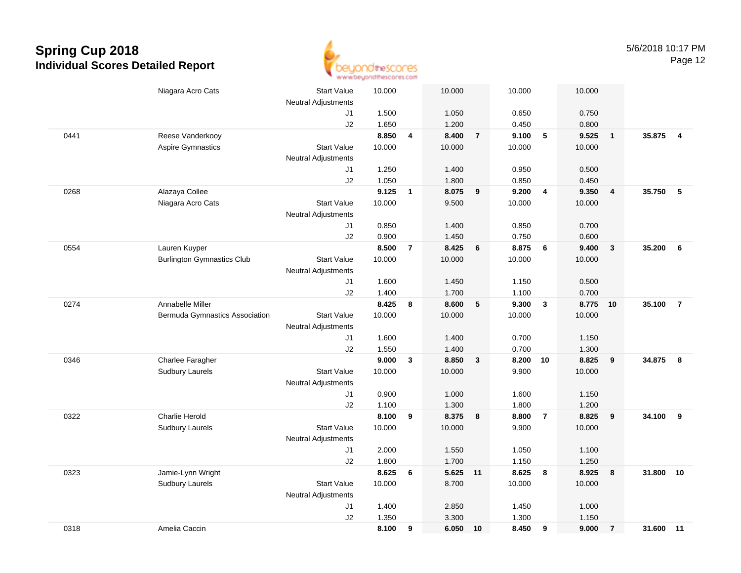

|      | Niagara Acro Cats                 | <b>Start Value</b><br><b>Neutral Adjustments</b> | 10.000 |                | 10.000   |                | 10.000 |                         | 10.000 |                         |        |                |
|------|-----------------------------------|--------------------------------------------------|--------|----------------|----------|----------------|--------|-------------------------|--------|-------------------------|--------|----------------|
|      |                                   | J1                                               | 1.500  |                | 1.050    |                | 0.650  |                         | 0.750  |                         |        |                |
|      |                                   | J2                                               | 1.650  |                | 1.200    |                | 0.450  |                         | 0.800  |                         |        |                |
| 0441 | Reese Vanderkooy                  |                                                  | 8.850  | 4              | 8.400    | $\overline{7}$ | 9.100  | 5                       | 9.525  | $\overline{1}$          | 35.875 | $\overline{4}$ |
|      | Aspire Gymnastics                 | <b>Start Value</b>                               | 10.000 |                | 10.000   |                | 10.000 |                         | 10.000 |                         |        |                |
|      |                                   | <b>Neutral Adjustments</b>                       |        |                |          |                |        |                         |        |                         |        |                |
|      |                                   | J1                                               | 1.250  |                | 1.400    |                | 0.950  |                         | 0.500  |                         |        |                |
|      |                                   | J2                                               | 1.050  |                | 1.800    |                | 0.850  |                         | 0.450  |                         |        |                |
| 0268 | Alazaya Collee                    |                                                  | 9.125  | $\mathbf{1}$   | 8.075    | 9              | 9.200  | $\overline{4}$          | 9.350  | $\overline{4}$          | 35.750 | - 5            |
|      | Niagara Acro Cats                 | <b>Start Value</b>                               | 10.000 |                | 9.500    |                | 10.000 |                         | 10.000 |                         |        |                |
|      |                                   | <b>Neutral Adjustments</b>                       |        |                |          |                |        |                         |        |                         |        |                |
|      |                                   | J1                                               | 0.850  |                | 1.400    |                | 0.850  |                         | 0.700  |                         |        |                |
|      |                                   | J2                                               | 0.900  |                | 1.450    |                | 0.750  |                         | 0.600  |                         |        |                |
| 0554 | Lauren Kuyper                     |                                                  | 8.500  | $\overline{7}$ | 8.425    | $6\phantom{1}$ | 8.875  | 6                       | 9.400  | $\overline{\mathbf{3}}$ | 35.200 | 6              |
|      | <b>Burlington Gymnastics Club</b> | <b>Start Value</b>                               | 10.000 |                | 10.000   |                | 10.000 |                         | 10.000 |                         |        |                |
|      |                                   | Neutral Adjustments                              |        |                |          |                |        |                         |        |                         |        |                |
|      |                                   | J1                                               | 1.600  |                | 1.450    |                | 1.150  |                         | 0.500  |                         |        |                |
|      |                                   | J2                                               | 1.400  |                | 1.700    |                | 1.100  |                         | 0.700  |                         |        |                |
| 0274 | Annabelle Miller                  |                                                  | 8.425  | 8              | 8.600    | 5              | 9.300  | $\overline{\mathbf{3}}$ | 8.775  | 10                      | 35.100 | $\overline{7}$ |
|      | Bermuda Gymnastics Association    | <b>Start Value</b>                               | 10.000 |                | 10.000   |                | 10.000 |                         | 10.000 |                         |        |                |
|      |                                   | <b>Neutral Adjustments</b>                       |        |                |          |                |        |                         |        |                         |        |                |
|      |                                   | J1                                               | 1.600  |                | 1.400    |                | 0.700  |                         | 1.150  |                         |        |                |
|      |                                   | J2                                               | 1.550  |                | 1.400    |                | 0.700  |                         | 1.300  |                         |        |                |
| 0346 | Charlee Faragher                  |                                                  | 9.000  | $\mathbf{3}$   | 8.850    | $\mathbf{3}$   | 8.200  | 10                      | 8.825  | 9                       | 34.875 | 8              |
|      | Sudbury Laurels                   | <b>Start Value</b>                               | 10.000 |                | 10.000   |                | 9.900  |                         | 10.000 |                         |        |                |
|      |                                   | Neutral Adjustments                              |        |                |          |                |        |                         |        |                         |        |                |
|      |                                   | J1                                               | 0.900  |                | 1.000    |                | 1.600  |                         | 1.150  |                         |        |                |
|      |                                   | J2                                               | 1.100  |                | 1.300    |                | 1.800  |                         | 1.200  |                         |        |                |
| 0322 | <b>Charlie Herold</b>             |                                                  | 8.100  | 9              | 8.375    | 8              | 8.800  | $\overline{7}$          | 8.825  | 9                       | 34.100 | 9              |
|      | Sudbury Laurels                   | <b>Start Value</b>                               | 10.000 |                | 10.000   |                | 9.900  |                         | 10.000 |                         |        |                |
|      |                                   | <b>Neutral Adjustments</b>                       |        |                |          |                |        |                         |        |                         |        |                |
|      |                                   | J1                                               | 2.000  |                | 1.550    |                | 1.050  |                         | 1.100  |                         |        |                |
|      |                                   | J2                                               | 1.800  |                | 1.700    |                | 1.150  |                         | 1.250  |                         |        |                |
| 0323 | Jamie-Lynn Wright                 |                                                  | 8.625  | 6              | 5.625 11 |                | 8.625  | 8                       | 8.925  | 8                       | 31.800 | 10             |
|      | <b>Sudbury Laurels</b>            | <b>Start Value</b>                               | 10.000 |                | 8.700    |                | 10.000 |                         | 10.000 |                         |        |                |
|      |                                   | <b>Neutral Adjustments</b>                       |        |                |          |                |        |                         |        |                         |        |                |
|      |                                   | J1                                               | 1.400  |                | 2.850    |                | 1.450  |                         | 1.000  |                         |        |                |
|      |                                   | J2                                               | 1.350  |                | 3.300    |                | 1.300  |                         | 1.150  |                         |        |                |
| 0318 | Amelia Caccin                     |                                                  | 8.100  | 9              | 6.050    | 10             | 8.450  | 9                       | 9.000  | $\overline{7}$          | 31.600 | 11             |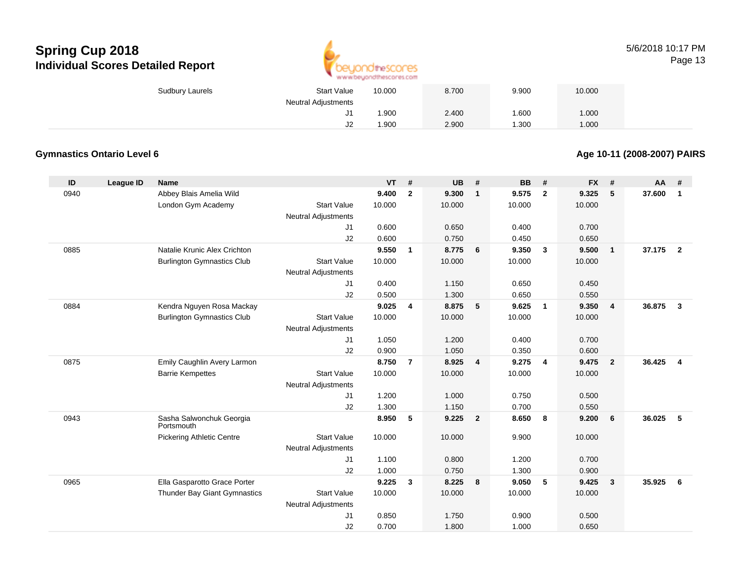

#### 5/6/2018 10:17 PMPage 13

| Sudbury Laurels | <b>Start Value</b>  | 10.000 | 8.700 | 9.900 | 10.000 |
|-----------------|---------------------|--------|-------|-------|--------|
|                 | Neutral Adjustments |        |       |       |        |
|                 | ບ ເ                 | .900   | 2.400 | .600  | 1.000  |
|                 | J2                  | .900   | 2.900 | .300  | 1.000  |

#### **Gymnastics Ontario Level 6**

**Age 10-11 (2008-2007) PAIRS**

| ID   | League ID | <b>Name</b>                            |                            | <b>VT</b> | #                       | <b>UB</b> | #               | <b>BB</b> | #                       | <b>FX</b> | #              | <b>AA</b> | #              |
|------|-----------|----------------------------------------|----------------------------|-----------|-------------------------|-----------|-----------------|-----------|-------------------------|-----------|----------------|-----------|----------------|
| 0940 |           | Abbey Blais Amelia Wild                |                            | 9.400     | $\mathbf{2}$            | 9.300     | $\mathbf{1}$    | 9.575     | $\overline{2}$          | 9.325     | 5              | 37.600    | 1              |
|      |           | London Gym Academy                     | <b>Start Value</b>         | 10.000    |                         | 10.000    |                 | 10.000    |                         | 10.000    |                |           |                |
|      |           |                                        | <b>Neutral Adjustments</b> |           |                         |           |                 |           |                         |           |                |           |                |
|      |           |                                        | J1                         | 0.600     |                         | 0.650     |                 | 0.400     |                         | 0.700     |                |           |                |
|      |           |                                        | J2                         | 0.600     |                         | 0.750     |                 | 0.450     |                         | 0.650     |                |           |                |
| 0885 |           | Natalie Krunic Alex Crichton           |                            | 9.550     | $\mathbf{1}$            | 8.775     | $6\overline{6}$ | 9.350     | $\overline{\mathbf{3}}$ | 9.500     | $\overline{1}$ | 37.175    | $\overline{2}$ |
|      |           | <b>Burlington Gymnastics Club</b>      | <b>Start Value</b>         | 10.000    |                         | 10.000    |                 | 10.000    |                         | 10.000    |                |           |                |
|      |           |                                        | <b>Neutral Adjustments</b> |           |                         |           |                 |           |                         |           |                |           |                |
|      |           |                                        | J1                         | 0.400     |                         | 1.150     |                 | 0.650     |                         | 0.450     |                |           |                |
|      |           |                                        | J2                         | 0.500     |                         | 1.300     |                 | 0.650     |                         | 0.550     |                |           |                |
| 0884 |           | Kendra Nguyen Rosa Mackay              |                            | 9.025     | $\overline{\mathbf{4}}$ | 8.875     | $-5$            | 9.625     | $\overline{1}$          | 9.350     | $\overline{4}$ | 36.875    | $\mathbf{3}$   |
|      |           | <b>Burlington Gymnastics Club</b>      | <b>Start Value</b>         | 10.000    |                         | 10.000    |                 | 10.000    |                         | 10.000    |                |           |                |
|      |           |                                        | <b>Neutral Adjustments</b> |           |                         |           |                 |           |                         |           |                |           |                |
|      |           |                                        | J1                         | 1.050     |                         | 1.200     |                 | 0.400     |                         | 0.700     |                |           |                |
|      |           |                                        | J2                         | 0.900     |                         | 1.050     |                 | 0.350     |                         | 0.600     |                |           |                |
| 0875 |           | Emily Caughlin Avery Larmon            |                            | 8.750     | $\overline{7}$          | 8.925     | $\overline{4}$  | 9.275     | $\overline{4}$          | 9.475     | $\overline{2}$ | 36.425    | 4              |
|      |           | <b>Barrie Kempettes</b>                | <b>Start Value</b>         | 10.000    |                         | 10.000    |                 | 10.000    |                         | 10.000    |                |           |                |
|      |           |                                        | <b>Neutral Adjustments</b> |           |                         |           |                 |           |                         |           |                |           |                |
|      |           |                                        | J1                         | 1.200     |                         | 1.000     |                 | 0.750     |                         | 0.500     |                |           |                |
|      |           |                                        | J2                         | 1.300     |                         | 1.150     |                 | 0.700     |                         | 0.550     |                |           |                |
| 0943 |           | Sasha Salwonchuk Georgia<br>Portsmouth |                            | 8.950     | 5                       | 9.225     | $\overline{2}$  | 8.650     | $\overline{\mathbf{8}}$ | 9.200     | 6              | 36.025    | 5              |
|      |           | <b>Pickering Athletic Centre</b>       | <b>Start Value</b>         | 10.000    |                         | 10.000    |                 | 9.900     |                         | 10.000    |                |           |                |
|      |           |                                        | <b>Neutral Adjustments</b> |           |                         |           |                 |           |                         |           |                |           |                |
|      |           |                                        | J1                         | 1.100     |                         | 0.800     |                 | 1.200     |                         | 0.700     |                |           |                |
|      |           |                                        | J2                         | 1.000     |                         | 0.750     |                 | 1.300     |                         | 0.900     |                |           |                |
| 0965 |           | Ella Gasparotto Grace Porter           |                            | 9.225     | $\mathbf{3}$            | 8.225     | 8               | 9.050     | 5                       | 9.425     | $\mathbf{3}$   | 35.925    | 6              |
|      |           | Thunder Bay Giant Gymnastics           | <b>Start Value</b>         | 10.000    |                         | 10.000    |                 | 10.000    |                         | 10.000    |                |           |                |
|      |           |                                        | <b>Neutral Adjustments</b> |           |                         |           |                 |           |                         |           |                |           |                |
|      |           |                                        | J1                         | 0.850     |                         | 1.750     |                 | 0.900     |                         | 0.500     |                |           |                |
|      |           |                                        | J2                         | 0.700     |                         | 1.800     |                 | 1.000     |                         | 0.650     |                |           |                |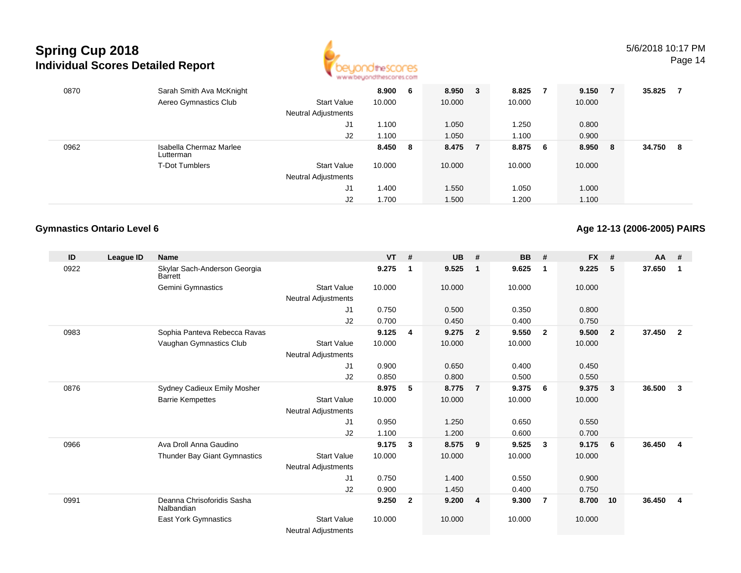

| 0870 | Sarah Smith Ava McKnight             |                     | 8.900  | 6  | 8.950  | 3 | 8.825  |    | 9.150  | - 7 | 35.825 |    |
|------|--------------------------------------|---------------------|--------|----|--------|---|--------|----|--------|-----|--------|----|
|      | Aereo Gymnastics Club                | <b>Start Value</b>  | 10.000 |    | 10.000 |   | 10.000 |    | 10.000 |     |        |    |
|      |                                      | Neutral Adjustments |        |    |        |   |        |    |        |     |        |    |
|      |                                      | J1                  | 1.100  |    | 1.050  |   | 1.250  |    | 0.800  |     |        |    |
|      |                                      | J2                  | 1.100  |    | 1.050  |   | 1.100  |    | 0.900  |     |        |    |
| 0962 | Isabella Chermaz Marlee<br>Lutterman |                     | 8.450  | -8 | 8.475  |   | 8.875  | -6 | 8.950  | - 8 | 34.750 | -8 |
|      | <b>T-Dot Tumblers</b>                | <b>Start Value</b>  | 10.000 |    | 10.000 |   | 10.000 |    | 10.000 |     |        |    |
|      |                                      | Neutral Adjustments |        |    |        |   |        |    |        |     |        |    |
|      |                                      | J1                  | 1.400  |    | 1.550  |   | 1.050  |    | 1.000  |     |        |    |
|      |                                      | J2                  | 1.700  |    | 1.500  |   | 1.200  |    | 1.100  |     |        |    |

#### **Gymnastics Ontario Level 6**

**Age 12-13 (2006-2005) PAIRS**

| ID   | League ID | <b>Name</b>                                    |                            | <b>VT</b> | #              | <b>UB</b> | #                       | <b>BB</b> | #                       | <b>FX</b> | #              | $AA$ # |                |
|------|-----------|------------------------------------------------|----------------------------|-----------|----------------|-----------|-------------------------|-----------|-------------------------|-----------|----------------|--------|----------------|
| 0922 |           | Skylar Sach-Anderson Georgia<br><b>Barrett</b> |                            | 9.275     | $\mathbf 1$    | 9.525     | -1                      | 9.625     | $\mathbf 1$             | 9.225     | 5              | 37.650 | 1              |
|      |           | Gemini Gymnastics                              | <b>Start Value</b>         | 10.000    |                | 10.000    |                         | 10.000    |                         | 10.000    |                |        |                |
|      |           |                                                | Neutral Adjustments        |           |                |           |                         |           |                         |           |                |        |                |
|      |           |                                                | J1                         | 0.750     |                | 0.500     |                         | 0.350     |                         | 0.800     |                |        |                |
|      |           |                                                | J <sub>2</sub>             | 0.700     |                | 0.450     |                         | 0.400     |                         | 0.750     |                |        |                |
| 0983 |           | Sophia Panteva Rebecca Ravas                   |                            | 9.125     | 4              | 9.275     | $\overline{\mathbf{2}}$ | 9.550     | $\overline{\mathbf{2}}$ | 9.500     | $\overline{2}$ | 37.450 | $\overline{2}$ |
|      |           | Vaughan Gymnastics Club                        | <b>Start Value</b>         | 10.000    |                | 10.000    |                         | 10.000    |                         | 10.000    |                |        |                |
|      |           |                                                | Neutral Adjustments        |           |                |           |                         |           |                         |           |                |        |                |
|      |           |                                                | J1                         | 0.900     |                | 0.650     |                         | 0.400     |                         | 0.450     |                |        |                |
|      |           |                                                | J2                         | 0.850     |                | 0.800     |                         | 0.500     |                         | 0.550     |                |        |                |
| 0876 |           | Sydney Cadieux Emily Mosher                    |                            | 8.975     | 5              | 8.775     | $\overline{7}$          | 9.375     | - 6                     | 9.375     | 3              | 36.500 | 3              |
|      |           | <b>Barrie Kempettes</b>                        | <b>Start Value</b>         | 10.000    |                | 10.000    |                         | 10.000    |                         | 10.000    |                |        |                |
|      |           |                                                | <b>Neutral Adjustments</b> |           |                |           |                         |           |                         |           |                |        |                |
|      |           |                                                | J1                         | 0.950     |                | 1.250     |                         | 0.650     |                         | 0.550     |                |        |                |
|      |           |                                                | J2                         | 1.100     |                | 1.200     |                         | 0.600     |                         | 0.700     |                |        |                |
| 0966 |           | Ava Droll Anna Gaudino                         |                            | 9.175     | 3              | 8.575     | 9                       | 9.525     | $\mathbf{3}$            | 9.175     | 6              | 36.450 | 4              |
|      |           | Thunder Bay Giant Gymnastics                   | <b>Start Value</b>         | 10.000    |                | 10.000    |                         | 10.000    |                         | 10.000    |                |        |                |
|      |           |                                                | Neutral Adjustments        |           |                |           |                         |           |                         |           |                |        |                |
|      |           |                                                | J <sub>1</sub>             | 0.750     |                | 1.400     |                         | 0.550     |                         | 0.900     |                |        |                |
|      |           |                                                | J2                         | 0.900     |                | 1.450     |                         | 0.400     |                         | 0.750     |                |        |                |
| 0991 |           | Deanna Chrisoforidis Sasha<br>Nalbandian       |                            | 9.250     | $\overline{2}$ | 9.200     | $\overline{4}$          | 9.300     | $\overline{7}$          | 8.700     | 10             | 36.450 | $\overline{4}$ |
|      |           | <b>East York Gymnastics</b>                    | <b>Start Value</b>         | 10.000    |                | 10.000    |                         | 10.000    |                         | 10.000    |                |        |                |
|      |           |                                                | <b>Neutral Adjustments</b> |           |                |           |                         |           |                         |           |                |        |                |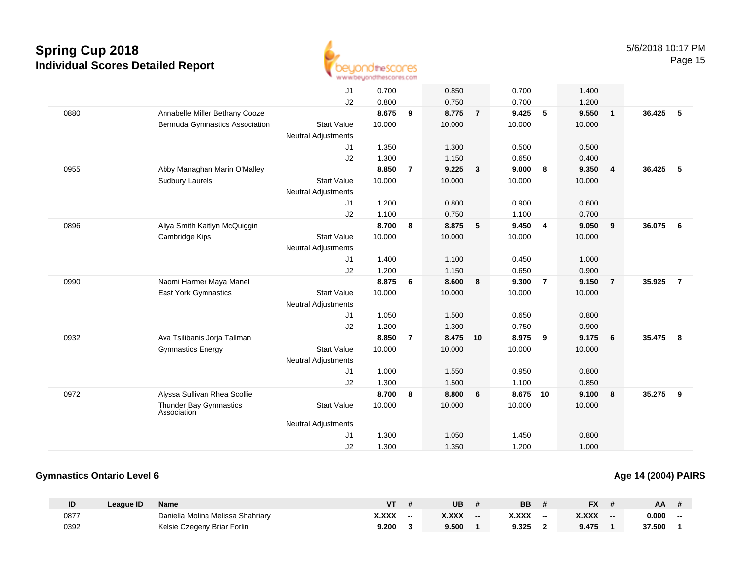

|      |                                       | J <sub>1</sub>             | 0.700  |                | 0.850    |                | 0.700  |                | 1.400  |                 |        |                |
|------|---------------------------------------|----------------------------|--------|----------------|----------|----------------|--------|----------------|--------|-----------------|--------|----------------|
|      |                                       | J2                         | 0.800  |                | 0.750    |                | 0.700  |                | 1.200  |                 |        |                |
| 0880 | Annabelle Miller Bethany Cooze        |                            | 8.675  | 9              | 8.775    | $\overline{7}$ | 9.425  | 5              | 9.550  | $\overline{1}$  | 36.425 | - 5            |
|      | Bermuda Gymnastics Association        | <b>Start Value</b>         | 10.000 |                | 10.000   |                | 10.000 |                | 10.000 |                 |        |                |
|      |                                       | <b>Neutral Adjustments</b> |        |                |          |                |        |                |        |                 |        |                |
|      |                                       | J1                         | 1.350  |                | 1.300    |                | 0.500  |                | 0.500  |                 |        |                |
|      |                                       | J2                         | 1.300  |                | 1.150    |                | 0.650  |                | 0.400  |                 |        |                |
| 0955 | Abby Managhan Marin O'Malley          |                            | 8.850  | $\overline{7}$ | 9.225    | $\mathbf{3}$   | 9.000  | 8              | 9.350  | $\overline{4}$  | 36.425 | - 5            |
|      | <b>Sudbury Laurels</b>                | <b>Start Value</b>         | 10.000 |                | 10.000   |                | 10.000 |                | 10.000 |                 |        |                |
|      |                                       | Neutral Adjustments        |        |                |          |                |        |                |        |                 |        |                |
|      |                                       | J1                         | 1.200  |                | 0.800    |                | 0.900  |                | 0.600  |                 |        |                |
|      |                                       | J2                         | 1.100  |                | 0.750    |                | 1.100  |                | 0.700  |                 |        |                |
| 0896 | Aliya Smith Kaitlyn McQuiggin         |                            | 8.700  | 8              | 8.875    | 5              | 9.450  | $\overline{4}$ | 9.050  | $\overline{9}$  | 36.075 | - 6            |
|      | Cambridge Kips                        | <b>Start Value</b>         | 10.000 |                | 10.000   |                | 10.000 |                | 10.000 |                 |        |                |
|      |                                       | <b>Neutral Adjustments</b> |        |                |          |                |        |                |        |                 |        |                |
|      |                                       | J <sub>1</sub>             | 1.400  |                | 1.100    |                | 0.450  |                | 1.000  |                 |        |                |
|      |                                       | J2                         | 1.200  |                | 1.150    |                | 0.650  |                | 0.900  |                 |        |                |
| 0990 | Naomi Harmer Maya Manel               |                            | 8.875  | 6              | 8.600    | 8              | 9.300  | $\overline{7}$ | 9.150  | $\overline{7}$  | 35.925 | $\overline{7}$ |
|      | East York Gymnastics                  | <b>Start Value</b>         | 10.000 |                | 10.000   |                | 10.000 |                | 10.000 |                 |        |                |
|      |                                       | <b>Neutral Adjustments</b> |        |                |          |                |        |                |        |                 |        |                |
|      |                                       | J1                         | 1.050  |                | 1.500    |                | 0.650  |                | 0.800  |                 |        |                |
|      |                                       | J2                         | 1.200  |                | 1.300    |                | 0.750  |                | 0.900  |                 |        |                |
| 0932 | Ava Tsilibanis Jorja Tallman          |                            | 8.850  | $\overline{7}$ | 8.475 10 |                | 8.975  | 9              | 9.175  | $6\overline{6}$ | 35.475 | 8              |
|      | <b>Gymnastics Energy</b>              | <b>Start Value</b>         | 10.000 |                | 10.000   |                | 10.000 |                | 10.000 |                 |        |                |
|      |                                       | Neutral Adjustments        |        |                |          |                |        |                |        |                 |        |                |
|      |                                       | J1                         | 1.000  |                | 1.550    |                | 0.950  |                | 0.800  |                 |        |                |
|      |                                       | J2                         | 1.300  |                | 1.500    |                | 1.100  |                | 0.850  |                 |        |                |
| 0972 | Alyssa Sullivan Rhea Scollie          |                            | 8.700  | 8              | 8.800    | 6              | 8.675  | 10             | 9.100  | 8               | 35.275 | -9             |
|      | Thunder Bay Gymnastics<br>Association | <b>Start Value</b>         | 10.000 |                | 10.000   |                | 10.000 |                | 10.000 |                 |        |                |
|      |                                       | <b>Neutral Adjustments</b> |        |                |          |                |        |                |        |                 |        |                |
|      |                                       | J1                         | 1.300  |                | 1.050    |                | 1.450  |                | 0.800  |                 |        |                |
|      |                                       | J2                         | 1.300  |                | 1.350    |                | 1.200  |                | 1.000  |                 |        |                |
|      |                                       |                            |        |                |          |                |        |                |        |                 |        |                |

#### **Gymnastics Ontario Level 6**

| ID   | League ID | Name                              | ۷T    |    | UB    |    | <b>BB</b> |       | <b>FX</b>    |     | AA     |    |
|------|-----------|-----------------------------------|-------|----|-------|----|-----------|-------|--------------|-----|--------|----|
| 0877 |           | Daniella Molina Melissa Shahriary | X.XXX | -- | X.XXX | -- | X.XXX     | $- -$ | <b>x.xxx</b> | $-$ | 0.000  | -- |
| 0392 |           | Kelsie Czegeny Briar Forlin       | 9.200 |    | 9.500 |    | 9.325     |       | 9.475        |     | 37.500 |    |

#### **Age 14 (2004) PAIRS**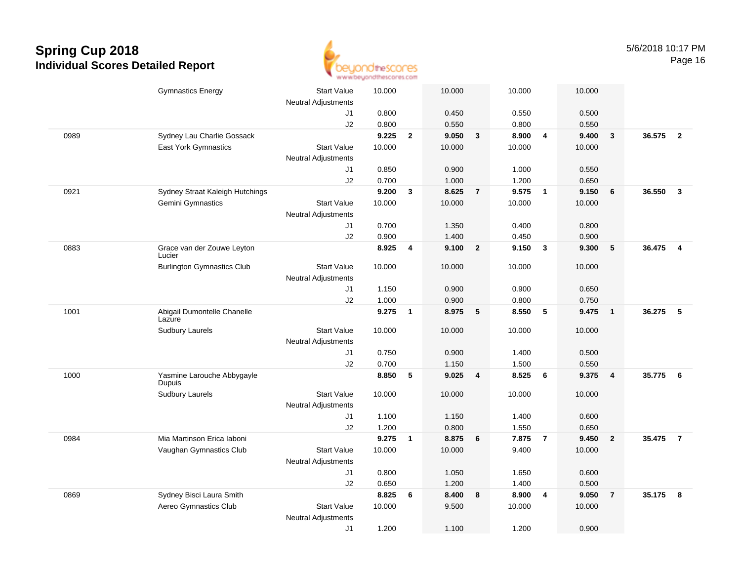

|      | <b>Gymnastics Energy</b>                          | <b>Start Value</b><br><b>Neutral Adjustments</b> | 10.000          |                | 10.000         |                | 10.000          |                         | 10.000 |                         |        |                |
|------|---------------------------------------------------|--------------------------------------------------|-----------------|----------------|----------------|----------------|-----------------|-------------------------|--------|-------------------------|--------|----------------|
|      |                                                   | J1                                               | 0.800           |                | 0.450          |                | 0.550           |                         | 0.500  |                         |        |                |
|      |                                                   | J2                                               | 0.800           |                | 0.550          |                | 0.800           |                         | 0.550  |                         |        |                |
| 0989 | Sydney Lau Charlie Gossack                        |                                                  | 9.225           | $\overline{2}$ | 9.050          | $\mathbf{3}$   | 8.900           | $\overline{4}$          | 9.400  | $\mathbf{3}$            | 36.575 | $\overline{2}$ |
|      | East York Gymnastics                              | <b>Start Value</b>                               | 10.000          |                | 10.000         |                | 10.000          |                         | 10.000 |                         |        |                |
|      |                                                   | <b>Neutral Adjustments</b>                       |                 |                |                |                |                 |                         |        |                         |        |                |
|      |                                                   | J1                                               | 0.850           |                | 0.900          |                | 1.000           |                         | 0.550  |                         |        |                |
|      |                                                   | J2                                               | 0.700           |                | 1.000          |                | 1.200           |                         | 0.650  |                         |        |                |
| 0921 | Sydney Straat Kaleigh Hutchings                   |                                                  | 9.200           | 3              | 8.625          | $\overline{7}$ | 9.575           | $\overline{1}$          | 9.150  | 6                       | 36.550 | $\mathbf{3}$   |
|      | Gemini Gymnastics                                 | <b>Start Value</b>                               | 10.000          |                | 10.000         |                | 10.000          |                         | 10.000 |                         |        |                |
|      |                                                   | <b>Neutral Adjustments</b>                       |                 |                |                |                |                 |                         |        |                         |        |                |
|      |                                                   | J1                                               | 0.700           |                | 1.350          |                | 0.400           |                         | 0.800  |                         |        |                |
|      |                                                   | J2                                               | 0.900           |                | 1.400          |                | 0.450           |                         | 0.900  |                         |        |                |
| 0883 | Grace van der Zouwe Leyton<br>Lucier              |                                                  | 8.925           | 4              | 9.100          | $\overline{2}$ | 9.150           | $\mathbf{3}$            | 9.300  | 5                       | 36.475 | $\overline{4}$ |
|      | <b>Burlington Gymnastics Club</b>                 | <b>Start Value</b>                               | 10.000          |                | 10.000         |                | 10.000          |                         | 10.000 |                         |        |                |
|      |                                                   | <b>Neutral Adjustments</b>                       |                 |                |                |                |                 |                         |        |                         |        |                |
|      |                                                   | J1                                               | 1.150           |                | 0.900          |                | 0.900           |                         | 0.650  |                         |        |                |
|      |                                                   | J2                                               | 1.000           |                | 0.900          |                | 0.800           |                         | 0.750  |                         |        |                |
| 1001 | Abigail Dumontelle Chanelle<br>Lazure             |                                                  | 9.275           | 1              | 8.975          | 5              | 8.550           | 5                       | 9.475  | $\overline{\mathbf{1}}$ | 36.275 | - 5            |
|      | <b>Sudbury Laurels</b>                            | <b>Start Value</b>                               | 10.000          |                | 10.000         |                | 10.000          |                         | 10.000 |                         |        |                |
|      |                                                   | <b>Neutral Adjustments</b>                       |                 |                |                |                |                 |                         |        |                         |        |                |
|      |                                                   | J1                                               | 0.750           |                | 0.900          |                | 1.400           |                         | 0.500  |                         |        |                |
|      |                                                   | J2                                               | 0.700           |                | 1.150          |                | 1.500           |                         | 0.550  |                         |        |                |
| 1000 | Yasmine Larouche Abbygayle<br><b>Dupuis</b>       |                                                  | 8.850           | 5              | 9.025          | 4              | 8.525           | 6                       | 9.375  | $\overline{4}$          | 35.775 | - 6            |
|      | <b>Sudbury Laurels</b>                            | <b>Start Value</b>                               | 10.000          |                | 10.000         |                | 10.000          |                         | 10.000 |                         |        |                |
|      |                                                   | <b>Neutral Adjustments</b>                       |                 |                |                |                |                 |                         |        |                         |        |                |
|      |                                                   | J1                                               | 1.100           |                | 1.150          |                | 1.400           |                         | 0.600  |                         |        |                |
|      |                                                   | J2                                               | 1.200           |                | 0.800          |                | 1.550           |                         | 0.650  |                         |        |                |
| 0984 | Mia Martinson Erica laboni                        |                                                  | 9.275           | $\overline{1}$ | 8.875          | 6              | 7.875           | $\overline{7}$          | 9.450  | $\overline{\mathbf{2}}$ | 35.475 | $\overline{7}$ |
|      | Vaughan Gymnastics Club                           | <b>Start Value</b>                               | 10.000          |                | 10.000         |                | 9.400           |                         | 10.000 |                         |        |                |
|      |                                                   | <b>Neutral Adjustments</b>                       |                 |                |                |                |                 |                         |        |                         |        |                |
|      |                                                   | J1                                               | 0.800           |                | 1.050          |                | 1.650           |                         | 0.600  |                         |        |                |
|      |                                                   | J2                                               | 0.650           |                | 1.200          |                | 1.400           |                         | 0.500  |                         |        |                |
| 0869 | Sydney Bisci Laura Smith<br>Aereo Gymnastics Club | <b>Start Value</b>                               | 8.825<br>10.000 | 6              | 8.400<br>9.500 | 8              | 8.900<br>10.000 | $\overline{\mathbf{4}}$ | 9.050  | $\overline{7}$          | 35.175 | 8              |
|      |                                                   |                                                  |                 |                |                |                |                 |                         | 10.000 |                         |        |                |
|      |                                                   | <b>Neutral Adjustments</b>                       | 1.200           |                | 1.100          |                | 1.200           |                         | 0.900  |                         |        |                |
|      |                                                   | J1                                               |                 |                |                |                |                 |                         |        |                         |        |                |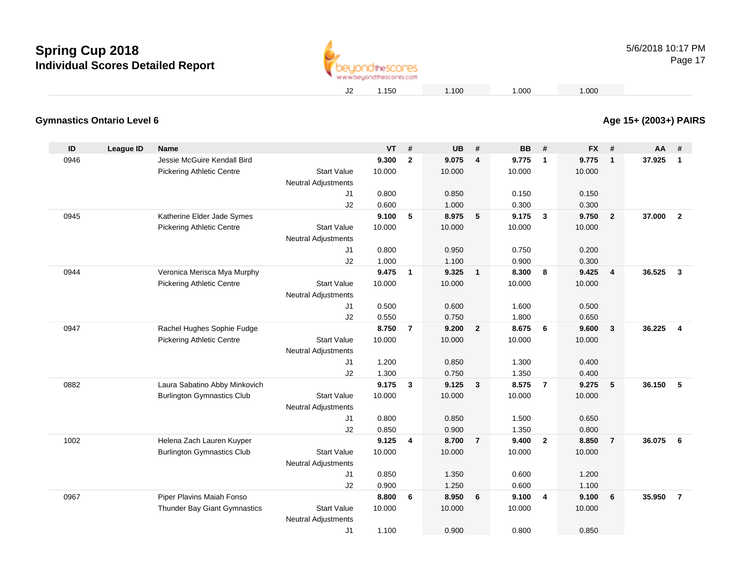

### **Age 15+ (2003+) PAIRS**

#### **Gymnastics Ontario Level 6**

| ID   | <b>League ID</b> | <b>Name</b>                       |                            | <b>VT</b> | #              | <b>UB</b> | #                       | <b>BB</b>       | #              | <b>FX</b> | #              | AA     | #                       |
|------|------------------|-----------------------------------|----------------------------|-----------|----------------|-----------|-------------------------|-----------------|----------------|-----------|----------------|--------|-------------------------|
| 0946 |                  | Jessie McGuire Kendall Bird       |                            | 9.300     | $\mathbf{2}$   | 9.075     | $\overline{4}$          | 9.775           | $\mathbf{1}$   | 9.775     | $\mathbf{1}$   | 37.925 | $\mathbf{1}$            |
|      |                  | <b>Pickering Athletic Centre</b>  | <b>Start Value</b>         | 10.000    |                | 10.000    |                         | 10.000          |                | 10.000    |                |        |                         |
|      |                  |                                   | <b>Neutral Adjustments</b> |           |                |           |                         |                 |                |           |                |        |                         |
|      |                  |                                   | J1                         | 0.800     |                | 0.850     |                         | 0.150           |                | 0.150     |                |        |                         |
|      |                  |                                   | J2                         | 0.600     |                | 1.000     |                         | 0.300           |                | 0.300     |                |        |                         |
| 0945 |                  | Katherine Elder Jade Symes        |                            | 9.100     | 5              | 8.975     | $\sqrt{5}$              | 9.175           | 3              | 9.750     | $\mathbf{2}$   | 37.000 | $\overline{\mathbf{2}}$ |
|      |                  | <b>Pickering Athletic Centre</b>  | <b>Start Value</b>         | 10.000    |                | 10.000    |                         | 10.000          |                | 10.000    |                |        |                         |
|      |                  |                                   | <b>Neutral Adjustments</b> |           |                |           |                         |                 |                |           |                |        |                         |
|      |                  |                                   | J1                         | 0.800     |                | 0.950     |                         | 0.750           |                | 0.200     |                |        |                         |
|      |                  |                                   | J2                         | 1.000     |                | 1.100     |                         | 0.900           |                | 0.300     |                |        |                         |
| 0944 |                  | Veronica Merisca Mya Murphy       |                            | 9.475     | $\mathbf{1}$   | 9.325     | $\overline{1}$          | 8.300           | 8              | 9.425     | 4              | 36.525 | $\mathbf{3}$            |
|      |                  | <b>Pickering Athletic Centre</b>  | <b>Start Value</b>         | 10.000    |                | 10.000    |                         | 10.000          |                | 10.000    |                |        |                         |
|      |                  |                                   | <b>Neutral Adjustments</b> |           |                |           |                         |                 |                |           |                |        |                         |
|      |                  |                                   | J1                         | 0.500     |                | 0.600     |                         | 1.600           |                | 0.500     |                |        |                         |
|      |                  |                                   | J2                         | 0.550     |                | 0.750     |                         | 1.800           |                | 0.650     |                |        |                         |
| 0947 |                  | Rachel Hughes Sophie Fudge        |                            | 8.750     | $\overline{7}$ | 9.200     | $\overline{\mathbf{2}}$ | 8.675           | 6              | 9.600     | 3              | 36.225 | $\overline{4}$          |
|      |                  | <b>Pickering Athletic Centre</b>  | <b>Start Value</b>         | 10.000    |                | 10.000    |                         | 10.000          |                | 10.000    |                |        |                         |
|      |                  |                                   | <b>Neutral Adjustments</b> |           |                |           |                         |                 |                |           |                |        |                         |
|      |                  |                                   | J1                         | 1.200     |                | 0.850     |                         | 1.300           |                | 0.400     |                |        |                         |
|      |                  |                                   | J2                         | 1.300     |                | 0.750     |                         | 1.350           |                | 0.400     |                |        |                         |
| 0882 |                  | Laura Sabatino Abby Minkovich     | <b>Start Value</b>         | 9.175     | $\mathbf{3}$   | 9.125     | $\mathbf{3}$            | 8.575<br>10.000 | $\overline{7}$ | 9.275     | 5              | 36.150 | 5                       |
|      |                  | <b>Burlington Gymnastics Club</b> | <b>Neutral Adjustments</b> | 10.000    |                | 10.000    |                         |                 |                | 10.000    |                |        |                         |
|      |                  |                                   | J1                         | 0.800     |                | 0.850     |                         | 1.500           |                | 0.650     |                |        |                         |
|      |                  |                                   | J2                         | 0.850     |                | 0.900     |                         | 1.350           |                | 0.800     |                |        |                         |
| 1002 |                  | Helena Zach Lauren Kuyper         |                            | 9.125     | $\overline{4}$ | 8.700     | $\overline{7}$          | 9.400           | $\overline{2}$ | 8.850     | $\overline{7}$ | 36.075 | 6                       |
|      |                  | <b>Burlington Gymnastics Club</b> | <b>Start Value</b>         | 10.000    |                | 10.000    |                         | 10.000          |                | 10.000    |                |        |                         |
|      |                  |                                   | <b>Neutral Adjustments</b> |           |                |           |                         |                 |                |           |                |        |                         |
|      |                  |                                   | J1                         | 0.850     |                | 1.350     |                         | 0.600           |                | 1.200     |                |        |                         |
|      |                  |                                   | J2                         | 0.900     |                | 1.250     |                         | 0.600           |                | 1.100     |                |        |                         |
| 0967 |                  | Piper Plavins Maiah Fonso         |                            | 8.800     | 6              | 8.950     | 6                       | 9.100           | $\overline{4}$ | 9.100     | 6              | 35.950 | $\overline{7}$          |
|      |                  | Thunder Bay Giant Gymnastics      | <b>Start Value</b>         | 10.000    |                | 10.000    |                         | 10.000          |                | 10.000    |                |        |                         |
|      |                  |                                   | <b>Neutral Adjustments</b> |           |                |           |                         |                 |                |           |                |        |                         |
|      |                  |                                   | J <sub>1</sub>             | 1.100     |                | 0.900     |                         | 0.800           |                | 0.850     |                |        |                         |